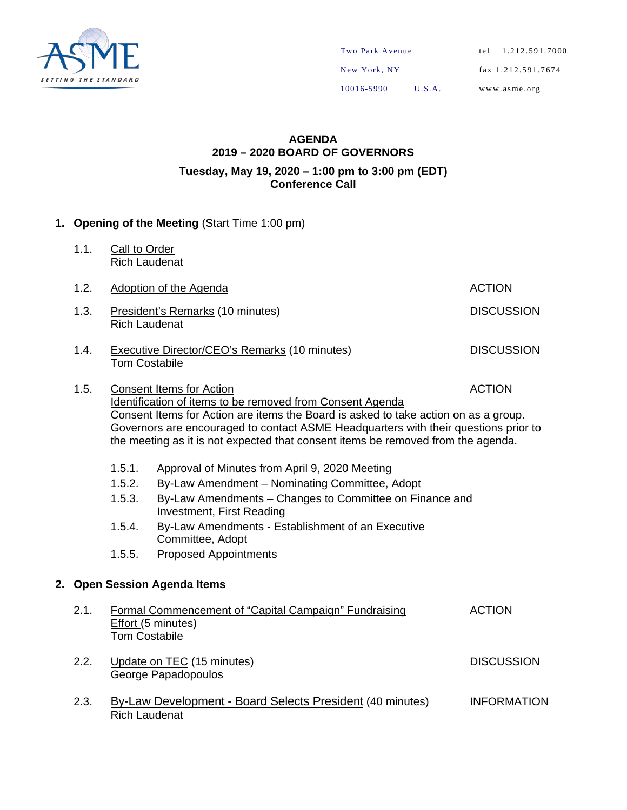

#### **AGENDA 2019 – 2020 BOARD OF GOVERNORS Tuesday, May 19, 2020 – 1:00 pm to 3:00 pm (EDT) Conference Call**

#### **1. Opening of the Meeting** (Start Time 1:00 pm)

1.1. Call to Order Rich Laudenat

| 1.2. | Adoption of the Agenda<br><b>ACTION</b>                                                           |                                                                                                                                                                                                                                                                                                                                                                |               |  |  |  |  |
|------|---------------------------------------------------------------------------------------------------|----------------------------------------------------------------------------------------------------------------------------------------------------------------------------------------------------------------------------------------------------------------------------------------------------------------------------------------------------------------|---------------|--|--|--|--|
| 1.3. | <b>DISCUSSION</b><br>President's Remarks (10 minutes)<br><b>Rich Laudenat</b>                     |                                                                                                                                                                                                                                                                                                                                                                |               |  |  |  |  |
| 1.4. | <b>DISCUSSION</b><br><b>Executive Director/CEO's Remarks (10 minutes)</b><br><b>Tom Costabile</b> |                                                                                                                                                                                                                                                                                                                                                                |               |  |  |  |  |
| 1.5. |                                                                                                   | <b>Consent Items for Action</b><br>Identification of items to be removed from Consent Agenda<br>Consent Items for Action are items the Board is asked to take action on as a group.<br>Governors are encouraged to contact ASME Headquarters with their questions prior to<br>the meeting as it is not expected that consent items be removed from the agenda. | <b>ACTION</b> |  |  |  |  |
|      | 1.5.1.<br>1.5.2.                                                                                  | Approval of Minutes from April 9, 2020 Meeting<br>By-Law Amendment – Nominating Committee, Adopt                                                                                                                                                                                                                                                               |               |  |  |  |  |

- 1.5.3. By-Law Amendments Changes to Committee on Finance and Investment, First Reading
- 1.5.4. By-Law Amendments Establishment of an Executive Committee, Adopt
- 1.5.5. Proposed Appointments

#### **2. Open Session Agenda Items**

| 2.1. | Formal Commencement of "Capital Campaign" Fundraising<br><b>Effort (5 minutes)</b><br><b>Tom Costabile</b> | <b>ACTION</b>      |
|------|------------------------------------------------------------------------------------------------------------|--------------------|
| 2.2. | Update on TEC (15 minutes)<br>George Papadopoulos                                                          | <b>DISCUSSION</b>  |
| 2.3. | By-Law Development - Board Selects President (40 minutes)<br><b>Rich Laudenat</b>                          | <b>INFORMATION</b> |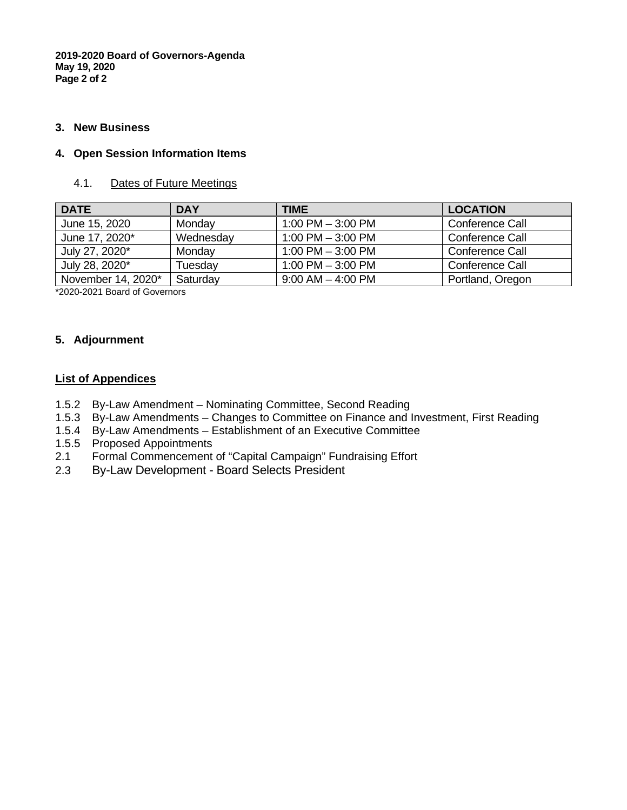**2019-2020 Board of Governors-Agenda May 19, 2020 Page 2 of 2**

#### **3. New Business**

#### **4. Open Session Information Items**

#### 4.1. Dates of Future Meetings

| <b>DATE</b>        | <b>DAY</b> | <b>TIME</b>           | <b>LOCATION</b>  |
|--------------------|------------|-----------------------|------------------|
| June 15, 2020      | Monday     | $1:00$ PM $-3:00$ PM  | Conference Call  |
| June 17, 2020*     | Wednesday  | $1:00$ PM $-3:00$ PM  | Conference Call  |
| July 27, 2020*     | Monday     | $1:00$ PM $-3:00$ PM  | Conference Call  |
| July 28, 2020*     | Tuesday    | $1:00$ PM $-3:00$ PM  | Conference Call  |
| November 14, 2020* | Saturday   | $9:00$ AM $-$ 4:00 PM | Portland, Oregon |

\*2020-2021 Board of Governors

#### **5. Adjournment**

#### **List of Appendices**

- 1.5.2 By-Law Amendment Nominating Committee, Second Reading
- 1.5.3 By-Law Amendments Changes to Committee on Finance and Investment, First Reading
- 1.5.4 By-Law Amendments Establishment of an Executive Committee
- 1.5.5 Proposed Appointments<br>2.1 Formal Commencement
- 2.1 Formal Commencement of "Capital Campaign" Fundraising Effort
- 2.3 By-Law Development Board Selects President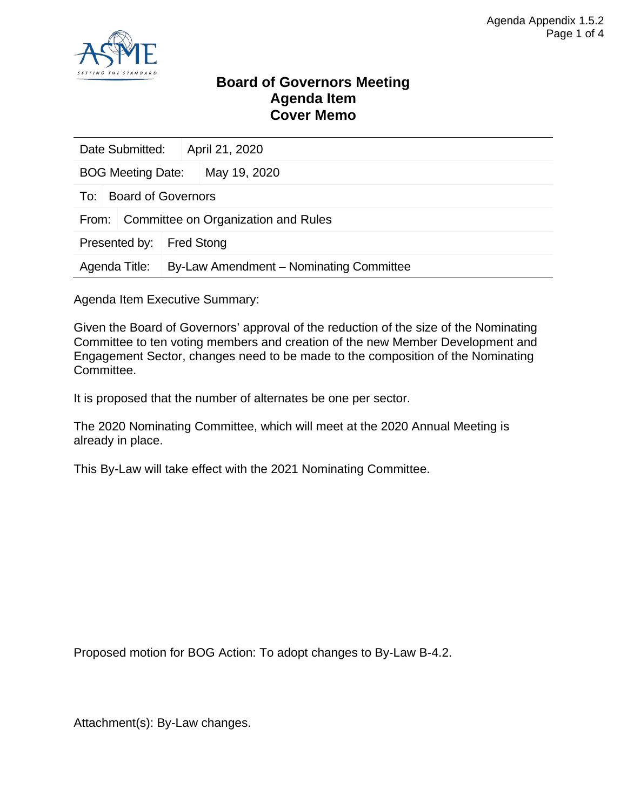

### **Board of Governors Meeting Agenda Item Cover Memo**

| Date Submitted:                              |                           |  | April 21, 2020                          |  |  |
|----------------------------------------------|---------------------------|--|-----------------------------------------|--|--|
| <b>BOG Meeting Date:</b>                     |                           |  | May 19, 2020                            |  |  |
| To:                                          | <b>Board of Governors</b> |  |                                         |  |  |
| Committee on Organization and Rules<br>From: |                           |  |                                         |  |  |
| Presented by:                                |                           |  | <b>Fred Stong</b>                       |  |  |
| Agenda Title:                                |                           |  | By-Law Amendment – Nominating Committee |  |  |

Agenda Item Executive Summary:

Given the Board of Governors' approval of the reduction of the size of the Nominating Committee to ten voting members and creation of the new Member Development and Engagement Sector, changes need to be made to the composition of the Nominating Committee.

It is proposed that the number of alternates be one per sector.

The 2020 Nominating Committee, which will meet at the 2020 Annual Meeting is already in place.

This By-Law will take effect with the 2021 Nominating Committee.

Proposed motion for BOG Action: To adopt changes to By-Law B-4.2.

Attachment(s): By-Law changes.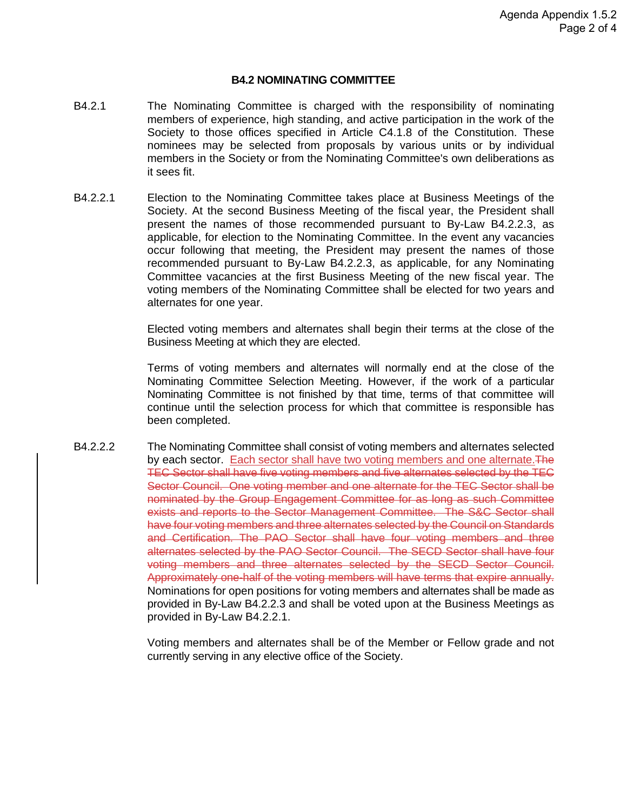#### **B4.2 NOMINATING COMMITTEE**

- B4.2.1 The Nominating Committee is charged with the responsibility of nominating members of experience, high standing, and active participation in the work of the Society to those offices specified in Article C4.1.8 of the Constitution. These nominees may be selected from proposals by various units or by individual members in the Society or from the Nominating Committee's own deliberations as it sees fit.
- B4.2.2.1 Election to the Nominating Committee takes place at Business Meetings of the Society. At the second Business Meeting of the fiscal year, the President shall present the names of those recommended pursuant to By-Law B4.2.2.3, as applicable, for election to the Nominating Committee. In the event any vacancies occur following that meeting, the President may present the names of those recommended pursuant to By-Law B4.2.2.3, as applicable, for any Nominating Committee vacancies at the first Business Meeting of the new fiscal year. The voting members of the Nominating Committee shall be elected for two years and alternates for one year.

Elected voting members and alternates shall begin their terms at the close of the Business Meeting at which they are elected.

Terms of voting members and alternates will normally end at the close of the Nominating Committee Selection Meeting. However, if the work of a particular Nominating Committee is not finished by that time, terms of that committee will continue until the selection process for which that committee is responsible has been completed.

B4.2.2.2 The Nominating Committee shall consist of voting members and alternates selected by each sector. Each sector shall have two voting members and one alternate. The TEC Sector shall have five voting members and five alternates selected by the TEC Sector Council. One voting member and one alternate for the TEC Sector shall be nominated by the Group Engagement Committee for as long as such Committee exists and reports to the Sector Management Committee. The S&C Sector shall have four voting members and three alternates selected by the Council on Standards and Certification. The PAO Sector shall have four voting members and three alternates selected by the PAO Sector Council. The SECD Sector shall have four voting members and three alternates selected by the SECD Sector Council. Approximately one-half of the voting members will have terms that expire annually. Nominations for open positions for voting members and alternates shall be made as provided in By-Law B4.2.2.3 and shall be voted upon at the Business Meetings as provided in By-Law B4.2.2.1.

> Voting members and alternates shall be of the Member or Fellow grade and not currently serving in any elective office of the Society.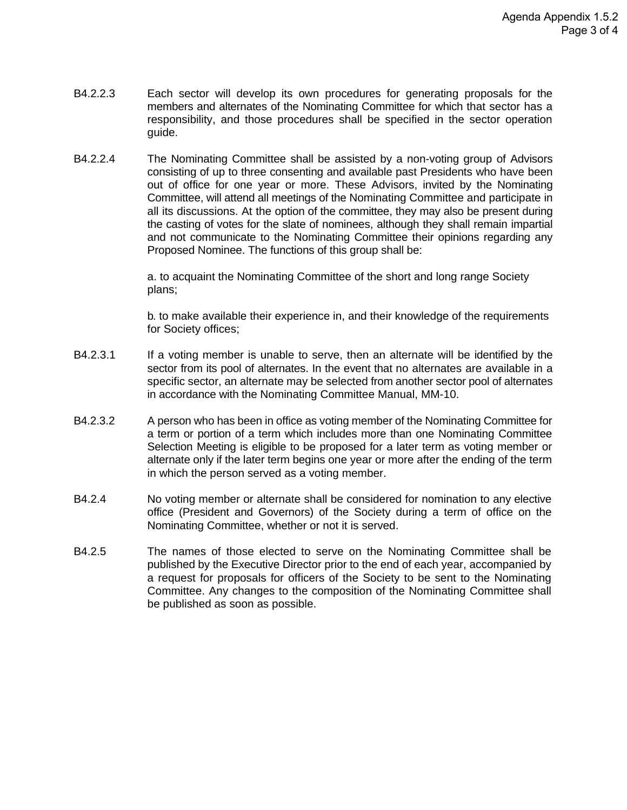- B4.2.2.3 Each sector will develop its own procedures for generating proposals for the members and alternates of the Nominating Committee for which that sector has a responsibility, and those procedures shall be specified in the sector operation guide.
- B4.2.2.4 The Nominating Committee shall be assisted by a non-voting group of Advisors consisting of up to three consenting and available past Presidents who have been out of office for one year or more. These Advisors, invited by the Nominating Committee, will attend all meetings of the Nominating Committee and participate in all its discussions. At the option of the committee, they may also be present during the casting of votes for the slate of nominees, although they shall remain impartial and not communicate to the Nominating Committee their opinions regarding any Proposed Nominee. The functions of this group shall be:

a. to acquaint the Nominating Committee of the short and long range Society plans;

b. to make available their experience in, and their knowledge of the requirements for Society offices;

- B4.2.3.1 If a voting member is unable to serve, then an alternate will be identified by the sector from its pool of alternates. In the event that no alternates are available in a specific sector, an alternate may be selected from another sector pool of alternates in accordance with the Nominating Committee Manual, MM-10.
- B4.2.3.2 A person who has been in office as voting member of the Nominating Committee for a term or portion of a term which includes more than one Nominating Committee Selection Meeting is eligible to be proposed for a later term as voting member or alternate only if the later term begins one year or more after the ending of the term in which the person served as a voting member.
- B4.2.4 No voting member or alternate shall be considered for nomination to any elective office (President and Governors) of the Society during a term of office on the Nominating Committee, whether or not it is served.
- B4.2.5 The names of those elected to serve on the Nominating Committee shall be published by the Executive Director prior to the end of each year, accompanied by a request for proposals for officers of the Society to be sent to the Nominating Committee. Any changes to the composition of the Nominating Committee shall be published as soon as possible.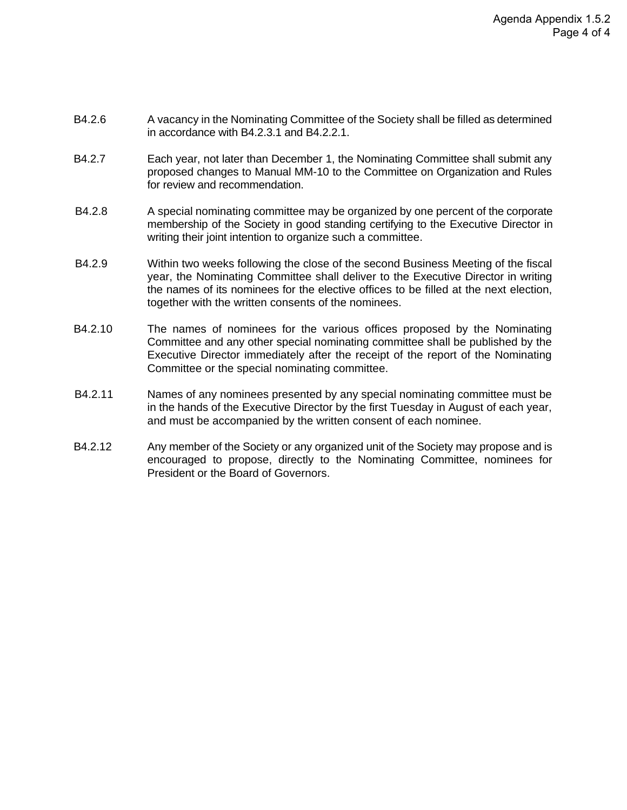- B4.2.6 A vacancy in the Nominating Committee of the Society shall be filled as determined in accordance with B4.2.3.1 and B4.2.2.1.
- B4.2.7 Each year, not later than December 1, the Nominating Committee shall submit any proposed changes to Manual MM-10 to the Committee on Organization and Rules for review and recommendation.
- B4.2.8 A special nominating committee may be organized by one percent of the corporate membership of the Society in good standing certifying to the Executive Director in writing their joint intention to organize such a committee.
- B4.2.9 Within two weeks following the close of the second Business Meeting of the fiscal year, the Nominating Committee shall deliver to the Executive Director in writing the names of its nominees for the elective offices to be filled at the next election, together with the written consents of the nominees.
- B4.2.10 The names of nominees for the various offices proposed by the Nominating Committee and any other special nominating committee shall be published by the Executive Director immediately after the receipt of the report of the Nominating Committee or the special nominating committee.
- B4.2.11 Names of any nominees presented by any special nominating committee must be in the hands of the Executive Director by the first Tuesday in August of each year, and must be accompanied by the written consent of each nominee.
- B4.2.12 Any member of the Society or any organized unit of the Society may propose and is encouraged to propose, directly to the Nominating Committee, nominees for President or the Board of Governors.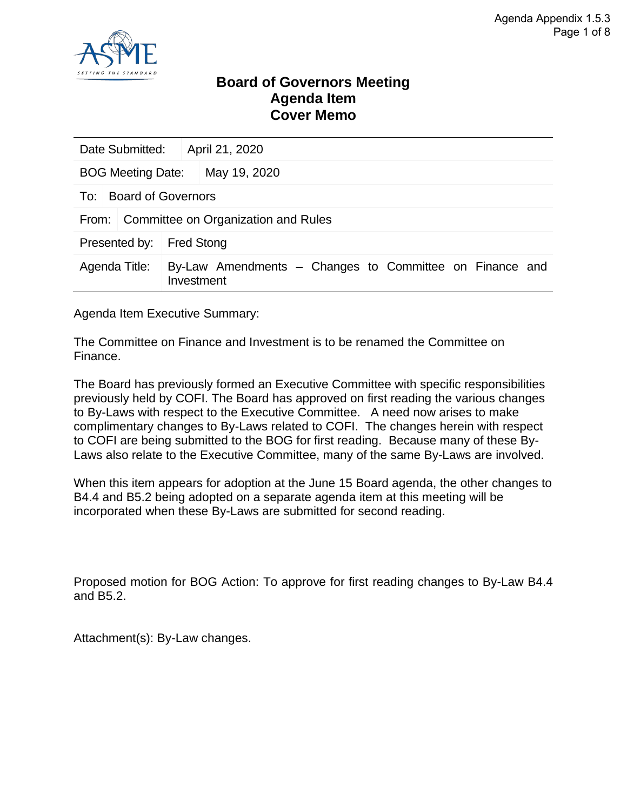

### **Board of Governors Meeting Agenda Item Cover Memo**

| Date Submitted:                              |                        | April 21, 2020                                          |  |  |  |
|----------------------------------------------|------------------------|---------------------------------------------------------|--|--|--|
| <b>BOG Meeting Date:</b>                     |                        | May 19, 2020                                            |  |  |  |
|                                              | To: Board of Governors |                                                         |  |  |  |
| Committee on Organization and Rules<br>From: |                        |                                                         |  |  |  |
| Presented by:                                |                        | <b>Fred Stong</b>                                       |  |  |  |
| Agenda Title:                                | Investment             | By-Law Amendments – Changes to Committee on Finance and |  |  |  |

Agenda Item Executive Summary:

The Committee on Finance and Investment is to be renamed the Committee on Finance.

The Board has previously formed an Executive Committee with specific responsibilities previously held by COFI. The Board has approved on first reading the various changes to By-Laws with respect to the Executive Committee. A need now arises to make complimentary changes to By-Laws related to COFI. The changes herein with respect to COFI are being submitted to the BOG for first reading. Because many of these By-Laws also relate to the Executive Committee, many of the same By-Laws are involved.

When this item appears for adoption at the June 15 Board agenda, the other changes to B4.4 and B5.2 being adopted on a separate agenda item at this meeting will be incorporated when these By-Laws are submitted for second reading.

Proposed motion for BOG Action: To approve for first reading changes to By-Law B4.4 and B5.2.

Attachment(s): By-Law changes.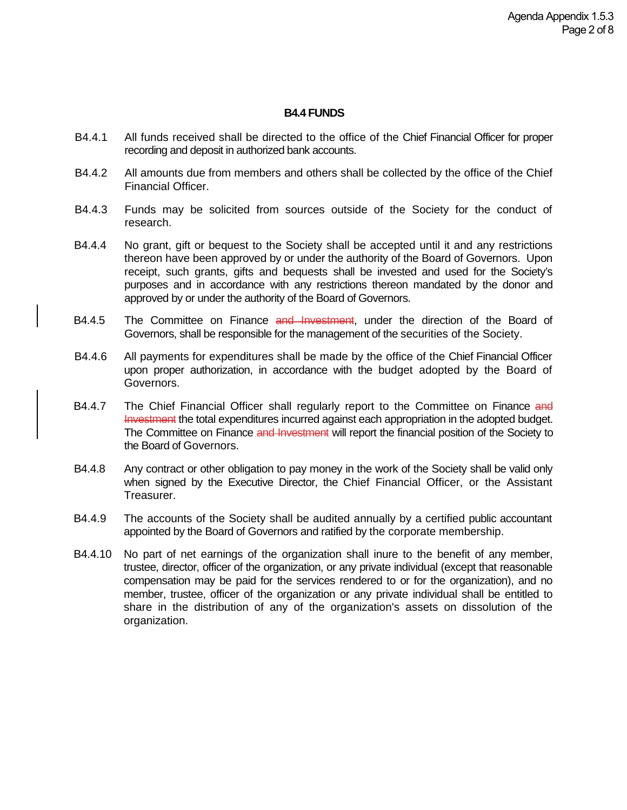#### **B4.4 FUNDS**

- B4.4.1 All funds received shall be directed to the office of the Chief Financial Officer for proper recording and deposit in authorized bank accounts.
- B4.4.2 All amounts due from members and others shall be collected by the office of the Chief Financial Officer.
- B4.4.3 Funds may be solicited from sources outside of the Society for the conduct of research.
- B4.4.4 No grant, gift or bequest to the Society shall be accepted until it and any restrictions thereon have been approved by or under the authority of the Board of Governors. Upon receipt, such grants, gifts and bequests shall be invested and used for the Society's purposes and in accordance with any restrictions thereon mandated by the donor and approved by or under the authority of the Board of Governors.
- B4.4.5 The Committee on Finance and Investment, under the direction of the Board of Governors, shall be responsible for the management of the securities of the Society.
- B4.4.6 All payments for expenditures shall be made by the office of the Chief Financial Officer upon proper authorization, in accordance with the budget adopted by the Board of Governors.
- B4.4.7 The Chief Financial Officer shall regularly report to the Committee on Finance and Investment the total expenditures incurred against each appropriation in the adopted budget. The Committee on Finance and Investment will report the financial position of the Society to the Board of Governors.
- B4.4.8 Any contract or other obligation to pay money in the work of the Society shall be valid only when signed by the Executive Director, the Chief Financial Officer, or the Assistant Treasurer.
- B4.4.9 The accounts of the Society shall be audited annually by a certified public accountant appointed by the Board of Governors and ratified by the corporate membership.
- B4.4.10 No part of net earnings of the organization shall inure to the benefit of any member, trustee, director, officer of the organization, or any private individual (except that reasonable compensation may be paid for the services rendered to or for the organization), and no member, trustee, officer of the organization or any private individual shall be entitled to share in the distribution of any of the organization's assets on dissolution of the organization.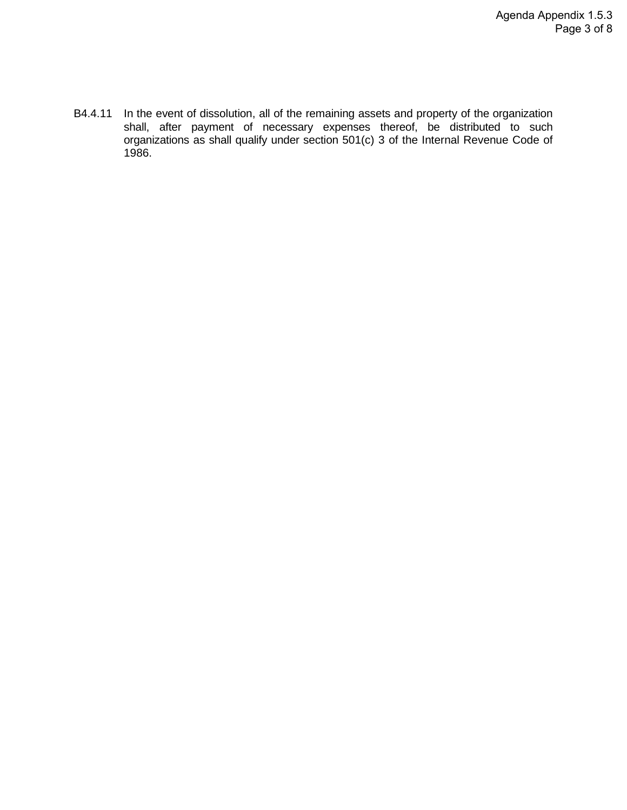B4.4.11 In the event of dissolution, all of the remaining assets and property of the organization shall, after payment of necessary expenses thereof, be distributed to such organizations as shall qualify under section 501(c) 3 of the Internal Revenue Code of 1986.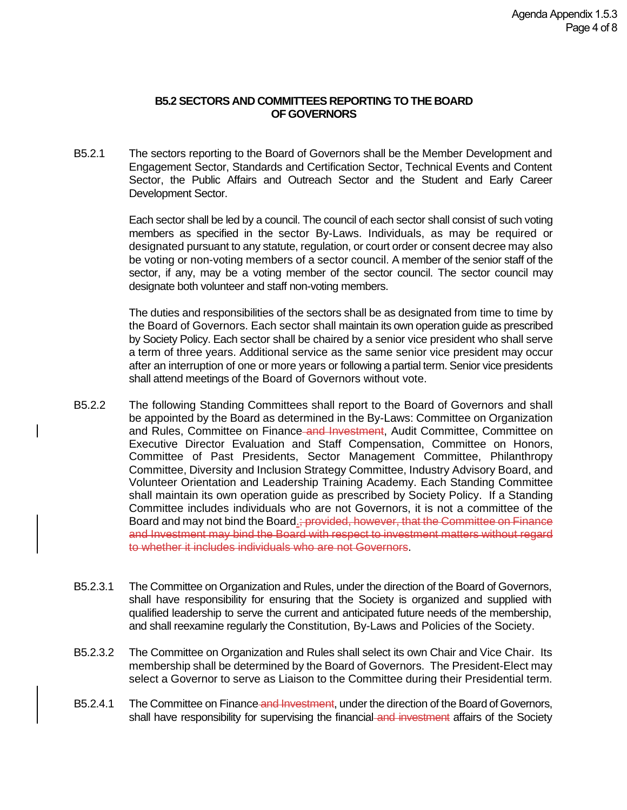#### **B5.2 SECTORS AND COMMITTEES REPORTING TO THE BOARD OF GOVERNORS**

B5.2.1 The sectors reporting to the Board of Governors shall be the Member Development and Engagement Sector, Standards and Certification Sector, Technical Events and Content Sector, the Public Affairs and Outreach Sector and the Student and Early Career Development Sector.

> Each sector shall be led by a council. The council of each sector shall consist of such voting members as specified in the sector By-Laws. Individuals, as may be required or designated pursuant to any statute, regulation, or court order or consent decree may also be voting or non-voting members of a sector council. A member of the senior staff of the sector, if any, may be a voting member of the sector council. The sector council may designate both volunteer and staff non-voting members.

> The duties and responsibilities of the sectors shall be as designated from time to time by the Board of Governors. Each sector shall maintain its own operation guide as prescribed by Society Policy. Each sector shall be chaired by a senior vice president who shall serve a term of three years. Additional service as the same senior vice president may occur after an interruption of one or more years or following a partial term. Senior vice presidents shall attend meetings of the Board of Governors without vote.

- B5.2.2 The following Standing Committees shall report to the Board of Governors and shall be appointed by the Board as determined in the By-Laws: Committee on Organization and Rules, Committee on Finance and Investment, Audit Committee, Committee on Executive Director Evaluation and Staff Compensation, Committee on Honors, Committee of Past Presidents, Sector Management Committee, Philanthropy Committee, Diversity and Inclusion Strategy Committee, Industry Advisory Board, and Volunteer Orientation and Leadership Training Academy. Each Standing Committee shall maintain its own operation guide as prescribed by Society Policy. If a Standing Committee includes individuals who are not Governors, it is not a committee of the Board and may not bind the Board.; provided, however, that the Committee on Finance and Investment may bind the Board with respect to investment matters without regard to whether it includes individuals who are not Governors.
- B5.2.3.1 The Committee on Organization and Rules, under the direction of the Board of Governors, shall have responsibility for ensuring that the Society is organized and supplied with qualified leadership to serve the current and anticipated future needs of the membership, and shall reexamine regularly the Constitution, By-Laws and Policies of the Society.
- B5.2.3.2 The Committee on Organization and Rules shall select its own Chair and Vice Chair. Its membership shall be determined by the Board of Governors. The President-Elect may select a Governor to serve as Liaison to the Committee during their Presidential term.
- B5.2.4.1 The Committee on Finance and Investment, under the direction of the Board of Governors, shall have responsibility for supervising the financial and investment affairs of the Society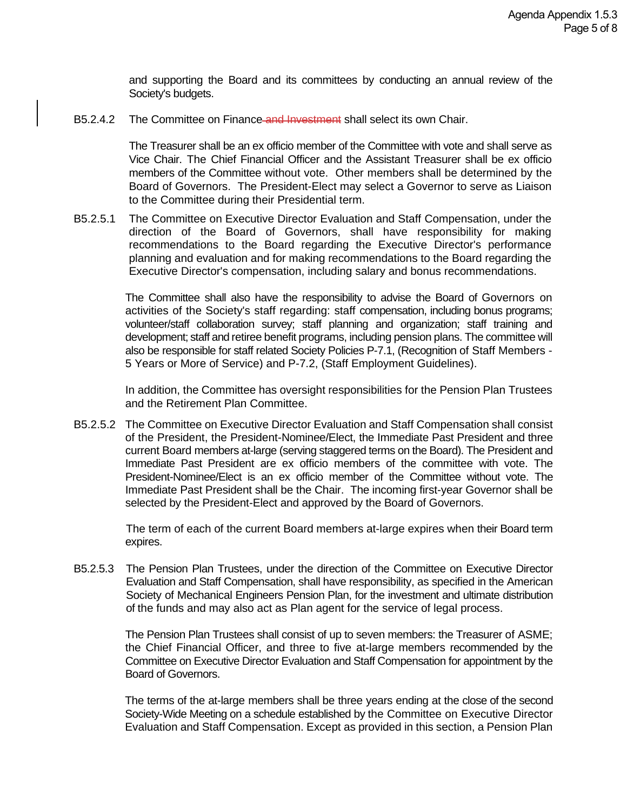and supporting the Board and its committees by conducting an annual review of the Society's budgets.

B5.2.4.2 The Committee on Finance and Investment shall select its own Chair.

The Treasurer shall be an ex officio member of the Committee with vote and shall serve as Vice Chair. The Chief Financial Officer and the Assistant Treasurer shall be ex officio members of the Committee without vote. Other members shall be determined by the Board of Governors. The President-Elect may select a Governor to serve as Liaison to the Committee during their Presidential term.

B5.2.5.1 The Committee on Executive Director Evaluation and Staff Compensation, under the direction of the Board of Governors, shall have responsibility for making recommendations to the Board regarding the Executive Director's performance planning and evaluation and for making recommendations to the Board regarding the Executive Director's compensation, including salary and bonus recommendations.

> The Committee shall also have the responsibility to advise the Board of Governors on activities of the Society's staff regarding: staff compensation, including bonus programs; volunteer/staff collaboration survey; staff planning and organization; staff training and development; staff and retiree benefit programs, including pension plans. The committee will also be responsible for staff related Society Policies P-7.1, (Recognition of Staff Members - 5 Years or More of Service) and P-7.2, (Staff Employment Guidelines).

> In addition, the Committee has oversight responsibilities for the Pension Plan Trustees and the Retirement Plan Committee.

B5.2.5.2 The Committee on Executive Director Evaluation and Staff Compensation shall consist of the President, the President-Nominee/Elect, the Immediate Past President and three current Board members at-large (serving staggered terms on the Board). The President and Immediate Past President are ex officio members of the committee with vote. The President-Nominee/Elect is an ex officio member of the Committee without vote. The Immediate Past President shall be the Chair. The incoming first-year Governor shall be selected by the President-Elect and approved by the Board of Governors.

> The term of each of the current Board members at-large expires when their Board term expires.

B5.2.5.3 The Pension Plan Trustees, under the direction of the Committee on Executive Director Evaluation and Staff Compensation, shall have responsibility, as specified in the American Society of Mechanical Engineers Pension Plan, for the investment and ultimate distribution of the funds and may also act as Plan agent for the service of legal process.

> The Pension Plan Trustees shall consist of up to seven members: the Treasurer of ASME; the Chief Financial Officer, and three to five at-large members recommended by the Committee on Executive Director Evaluation and Staff Compensation for appointment by the Board of Governors.

> The terms of the at-large members shall be three years ending at the close of the second Society-Wide Meeting on a schedule established by the Committee on Executive Director Evaluation and Staff Compensation. Except as provided in this section, a Pension Plan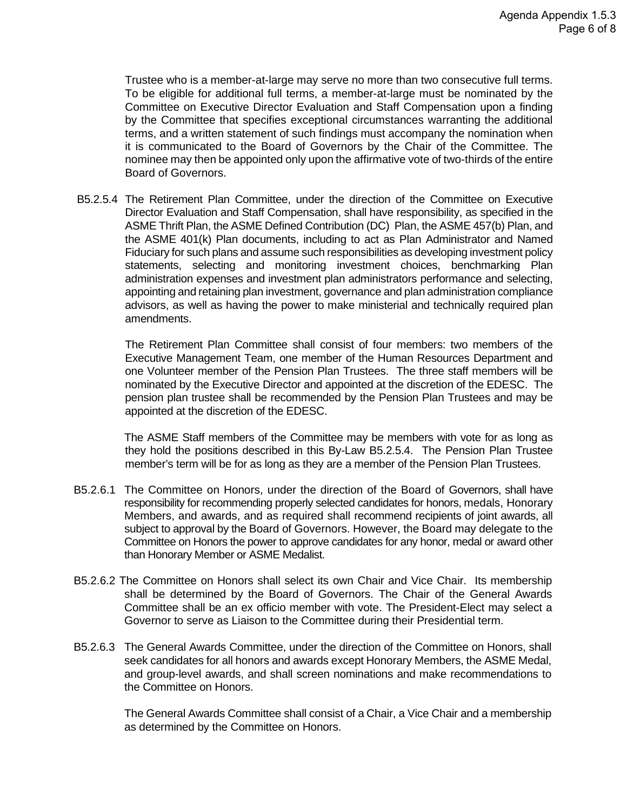Trustee who is a member-at-large may serve no more than two consecutive full terms. To be eligible for additional full terms, a member-at-large must be nominated by the Committee on Executive Director Evaluation and Staff Compensation upon a finding by the Committee that specifies exceptional circumstances warranting the additional terms, and a written statement of such findings must accompany the nomination when it is communicated to the Board of Governors by the Chair of the Committee. The nominee may then be appointed only upon the affirmative vote of two-thirds of the entire Board of Governors.

B5.2.5.4 The Retirement Plan Committee, under the direction of the Committee on Executive Director Evaluation and Staff Compensation, shall have responsibility, as specified in the ASME Thrift Plan, the ASME Defined Contribution (DC) Plan, the ASME 457(b) Plan, and the ASME 401(k) Plan documents, including to act as Plan Administrator and Named Fiduciary for such plans and assume such responsibilities as developing investment policy statements, selecting and monitoring investment choices, benchmarking Plan administration expenses and investment plan administrators performance and selecting, appointing and retaining plan investment, governance and plan administration compliance advisors, as well as having the power to make ministerial and technically required plan amendments.

The Retirement Plan Committee shall consist of four members: two members of the Executive Management Team, one member of the Human Resources Department and one Volunteer member of the Pension Plan Trustees. The three staff members will be nominated by the Executive Director and appointed at the discretion of the EDESC. The pension plan trustee shall be recommended by the Pension Plan Trustees and may be appointed at the discretion of the EDESC.

 The ASME Staff members of the Committee may be members with vote for as long as they hold the positions described in this By-Law B5.2.5.4. The Pension Plan Trustee member's term will be for as long as they are a member of the Pension Plan Trustees.

- B5.2.6.1 The Committee on Honors, under the direction of the Board of Governors, shall have responsibility for recommending properly selected candidates for honors, medals, Honorary Members, and awards, and as required shall recommend recipients of joint awards, all subject to approval by the Board of Governors. However, the Board may delegate to the Committee on Honors the power to approve candidates for any honor, medal or award other than Honorary Member or ASME Medalist.
- B5.2.6.2 The Committee on Honors shall select its own Chair and Vice Chair. Its membership shall be determined by the Board of Governors. The Chair of the General Awards Committee shall be an ex officio member with vote. The President-Elect may select a Governor to serve as Liaison to the Committee during their Presidential term.
- B5.2.6.3 The General Awards Committee, under the direction of the Committee on Honors, shall seek candidates for all honors and awards except Honorary Members, the ASME Medal, and group-level awards, and shall screen nominations and make recommendations to the Committee on Honors.

The General Awards Committee shall consist of a Chair, a Vice Chair and a membership as determined by the Committee on Honors.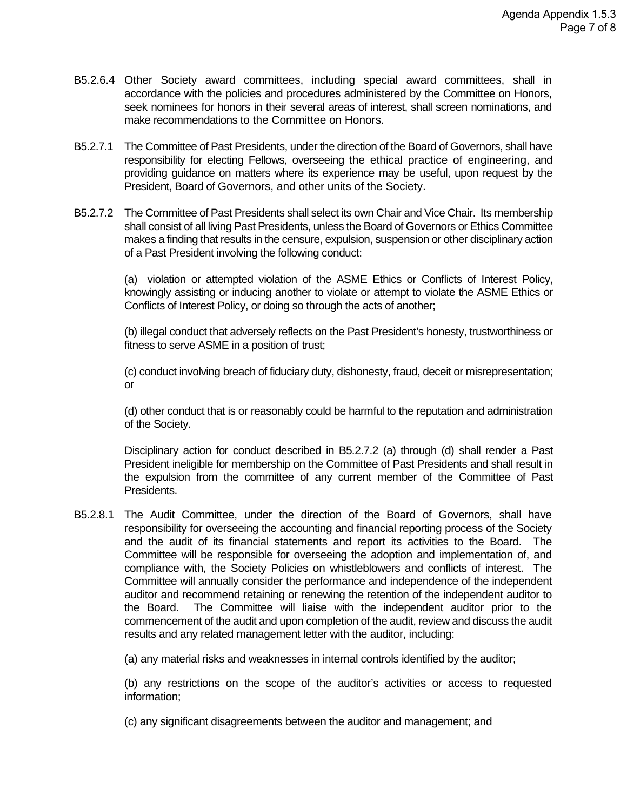- B5.2.6.4 Other Society award committees, including special award committees, shall in accordance with the policies and procedures administered by the Committee on Honors, seek nominees for honors in their several areas of interest, shall screen nominations, and make recommendations to the Committee on Honors.
- B5.2.7.1 The Committee of Past Presidents, under the direction of the Board of Governors, shall have responsibility for electing Fellows, overseeing the ethical practice of engineering, and providing guidance on matters where its experience may be useful, upon request by the President, Board of Governors, and other units of the Society.
- B5.2.7.2 The Committee of Past Presidents shall select its own Chair and Vice Chair. Its membership shall consist of all living Past Presidents, unless the Board of Governors or Ethics Committee makes a finding that results in the censure, expulsion, suspension or other disciplinary action of a Past President involving the following conduct:

(a) violation or attempted violation of the ASME Ethics or Conflicts of Interest Policy, knowingly assisting or inducing another to violate or attempt to violate the ASME Ethics or Conflicts of Interest Policy, or doing so through the acts of another;

(b) illegal conduct that adversely reflects on the Past President's honesty, trustworthiness or fitness to serve ASME in a position of trust;

(c) conduct involving breach of fiduciary duty, dishonesty, fraud, deceit or misrepresentation; or

(d) other conduct that is or reasonably could be harmful to the reputation and administration of the Society.

Disciplinary action for conduct described in B5.2.7.2 (a) through (d) shall render a Past President ineligible for membership on the Committee of Past Presidents and shall result in the expulsion from the committee of any current member of the Committee of Past Presidents.

B5.2.8.1 The Audit Committee, under the direction of the Board of Governors, shall have responsibility for overseeing the accounting and financial reporting process of the Society and the audit of its financial statements and report its activities to the Board. The Committee will be responsible for overseeing the adoption and implementation of, and compliance with, the Society Policies on whistleblowers and conflicts of interest. The Committee will annually consider the performance and independence of the independent auditor and recommend retaining or renewing the retention of the independent auditor to the Board. The Committee will liaise with the independent auditor prior to the commencement of the audit and upon completion of the audit, review and discuss the audit results and any related management letter with the auditor, including:

(a) any material risks and weaknesses in internal controls identified by the auditor;

(b) any restrictions on the scope of the auditor's activities or access to requested information;

(c) any significant disagreements between the auditor and management; and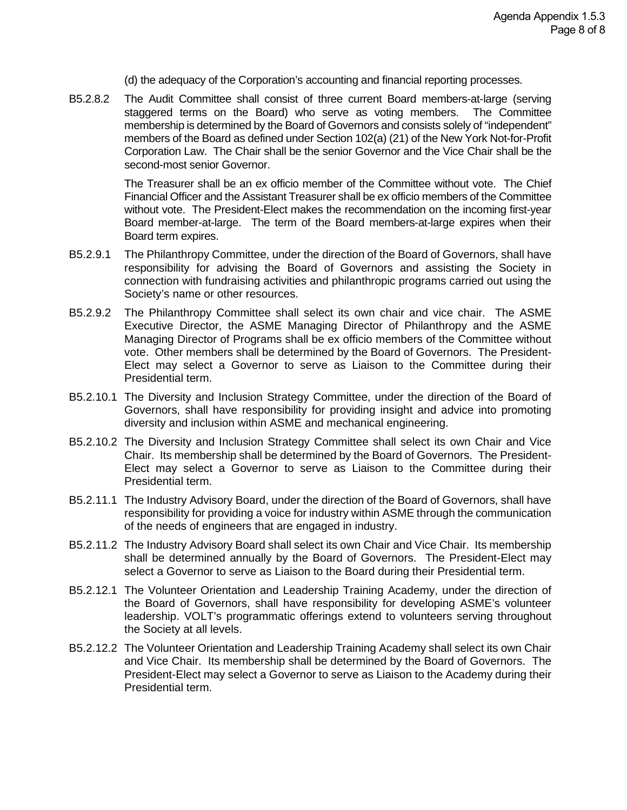(d) the adequacy of the Corporation's accounting and financial reporting processes.

B5.2.8.2 The Audit Committee shall consist of three current Board members-at-large (serving staggered terms on the Board) who serve as voting members. The Committee membership is determined by the Board of Governors and consists solely of "independent" members of the Board as defined under Section 102(a) (21) of the New York Not-for-Profit Corporation Law. The Chair shall be the senior Governor and the Vice Chair shall be the second-most senior Governor.

> The Treasurer shall be an ex officio member of the Committee without vote. The Chief Financial Officer and the Assistant Treasurer shall be ex officio members of the Committee without vote. The President-Elect makes the recommendation on the incoming first-year Board member-at-large. The term of the Board members-at-large expires when their Board term expires.

- B5.2.9.1 The Philanthropy Committee, under the direction of the Board of Governors, shall have responsibility for advising the Board of Governors and assisting the Society in connection with fundraising activities and philanthropic programs carried out using the Society's name or other resources.
- B5.2.9.2 The Philanthropy Committee shall select its own chair and vice chair. The ASME Executive Director, the ASME Managing Director of Philanthropy and the ASME Managing Director of Programs shall be ex officio members of the Committee without vote. Other members shall be determined by the Board of Governors. The President-Elect may select a Governor to serve as Liaison to the Committee during their Presidential term.
- B5.2.10.1 The Diversity and Inclusion Strategy Committee, under the direction of the Board of Governors, shall have responsibility for providing insight and advice into promoting diversity and inclusion within ASME and mechanical engineering.
- B5.2.10.2 The Diversity and Inclusion Strategy Committee shall select its own Chair and Vice Chair. Its membership shall be determined by the Board of Governors. The President-Elect may select a Governor to serve as Liaison to the Committee during their Presidential term.
- B5.2.11.1 The Industry Advisory Board, under the direction of the Board of Governors, shall have responsibility for providing a voice for industry within ASME through the communication of the needs of engineers that are engaged in industry.
- B5.2.11.2 The Industry Advisory Board shall select its own Chair and Vice Chair. Its membership shall be determined annually by the Board of Governors. The President-Elect may select a Governor to serve as Liaison to the Board during their Presidential term.
- B5.2.12.1 The Volunteer Orientation and Leadership Training Academy, under the direction of the Board of Governors, shall have responsibility for developing ASME's volunteer leadership. VOLT's programmatic offerings extend to volunteers serving throughout the Society at all levels.
- B5.2.12.2 The Volunteer Orientation and Leadership Training Academy shall select its own Chair and Vice Chair. Its membership shall be determined by the Board of Governors. The President-Elect may select a Governor to serve as Liaison to the Academy during their Presidential term.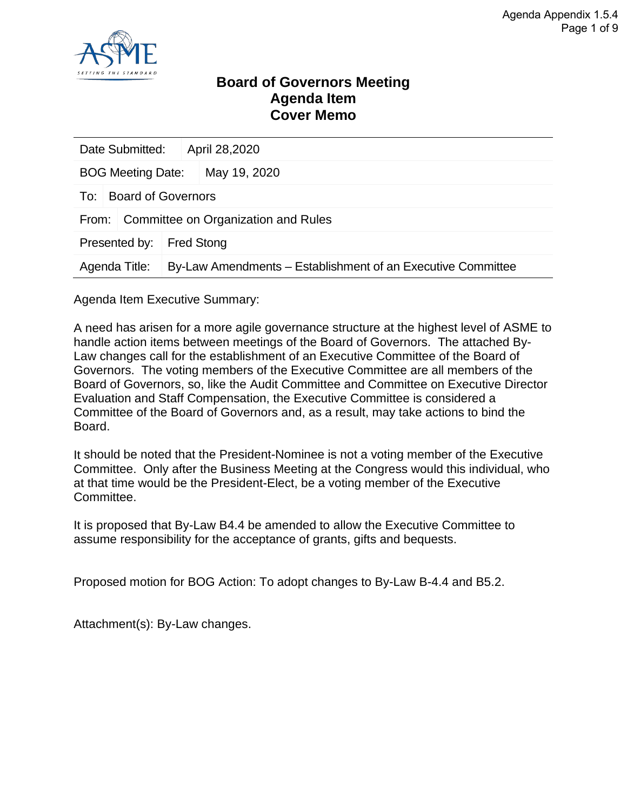

### **Board of Governors Meeting Agenda Item Cover Memo**

| Date Submitted:                              |                    |  | April 28,2020                                               |  |  |
|----------------------------------------------|--------------------|--|-------------------------------------------------------------|--|--|
| <b>BOG Meeting Date:</b>                     |                    |  | May 19, 2020                                                |  |  |
| To:                                          | Board of Governors |  |                                                             |  |  |
| Committee on Organization and Rules<br>From: |                    |  |                                                             |  |  |
| Presented by:                                |                    |  | <b>Fred Stong</b>                                           |  |  |
| Agenda Title:                                |                    |  | By-Law Amendments – Establishment of an Executive Committee |  |  |

Agenda Item Executive Summary:

A need has arisen for a more agile governance structure at the highest level of ASME to handle action items between meetings of the Board of Governors. The attached By-Law changes call for the establishment of an Executive Committee of the Board of Governors. The voting members of the Executive Committee are all members of the Board of Governors, so, like the Audit Committee and Committee on Executive Director Evaluation and Staff Compensation, the Executive Committee is considered a Committee of the Board of Governors and, as a result, may take actions to bind the Board.

It should be noted that the President-Nominee is not a voting member of the Executive Committee. Only after the Business Meeting at the Congress would this individual, who at that time would be the President-Elect, be a voting member of the Executive Committee.

It is proposed that By-Law B4.4 be amended to allow the Executive Committee to assume responsibility for the acceptance of grants, gifts and bequests.

Proposed motion for BOG Action: To adopt changes to By-Law B-4.4 and B5.2.

Attachment(s): By-Law changes.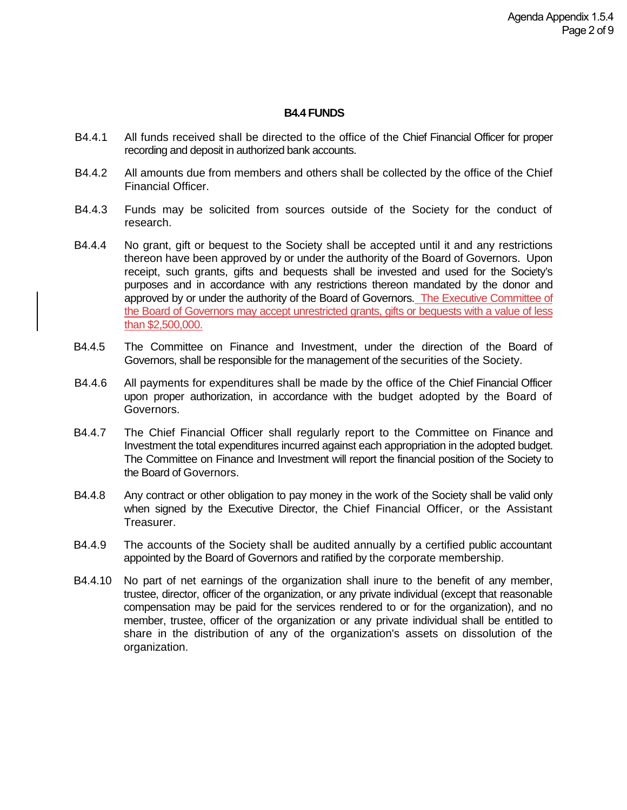#### **B4.4 FUNDS**

- B4.4.1 All funds received shall be directed to the office of the Chief Financial Officer for proper recording and deposit in authorized bank accounts.
- B4.4.2 All amounts due from members and others shall be collected by the office of the Chief Financial Officer.
- B4.4.3 Funds may be solicited from sources outside of the Society for the conduct of research.
- B4.4.4 No grant, gift or bequest to the Society shall be accepted until it and any restrictions thereon have been approved by or under the authority of the Board of Governors. Upon receipt, such grants, gifts and bequests shall be invested and used for the Society's purposes and in accordance with any restrictions thereon mandated by the donor and approved by or under the authority of the Board of Governors. The Executive Committee of the Board of Governors may accept unrestricted grants, gifts or bequests with a value of less than \$2,500,000.
- B4.4.5 The Committee on Finance and Investment, under the direction of the Board of Governors, shall be responsible for the management of the securities of the Society.
- B4.4.6 All payments for expenditures shall be made by the office of the Chief Financial Officer upon proper authorization, in accordance with the budget adopted by the Board of Governors.
- B4.4.7 The Chief Financial Officer shall regularly report to the Committee on Finance and Investment the total expenditures incurred against each appropriation in the adopted budget. The Committee on Finance and Investment will report the financial position of the Society to the Board of Governors.
- B4.4.8 Any contract or other obligation to pay money in the work of the Society shall be valid only when signed by the Executive Director, the Chief Financial Officer, or the Assistant Treasurer.
- B4.4.9 The accounts of the Society shall be audited annually by a certified public accountant appointed by the Board of Governors and ratified by the corporate membership.
- B4.4.10 No part of net earnings of the organization shall inure to the benefit of any member, trustee, director, officer of the organization, or any private individual (except that reasonable compensation may be paid for the services rendered to or for the organization), and no member, trustee, officer of the organization or any private individual shall be entitled to share in the distribution of any of the organization's assets on dissolution of the organization.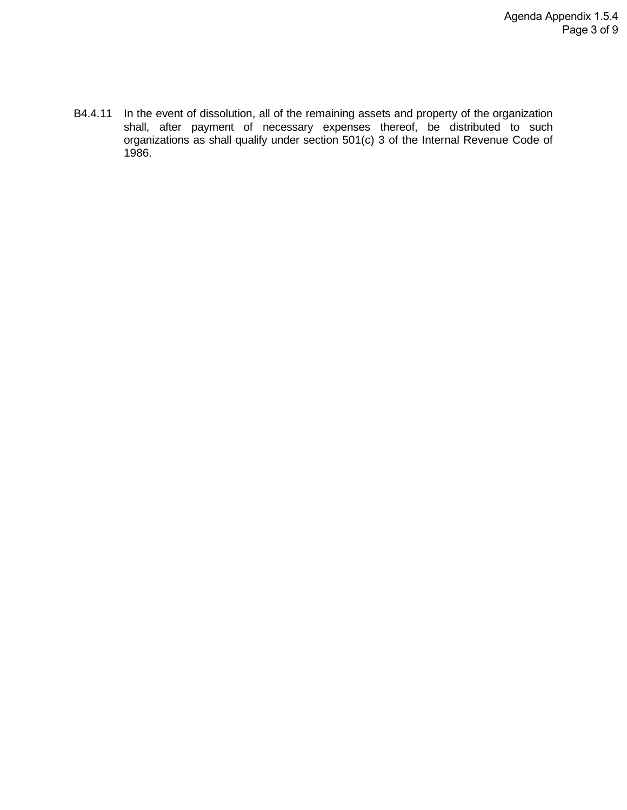B4.4.11 In the event of dissolution, all of the remaining assets and property of the organization shall, after payment of necessary expenses thereof, be distributed to such organizations as shall qualify under section 501(c) 3 of the Internal Revenue Code of 1986.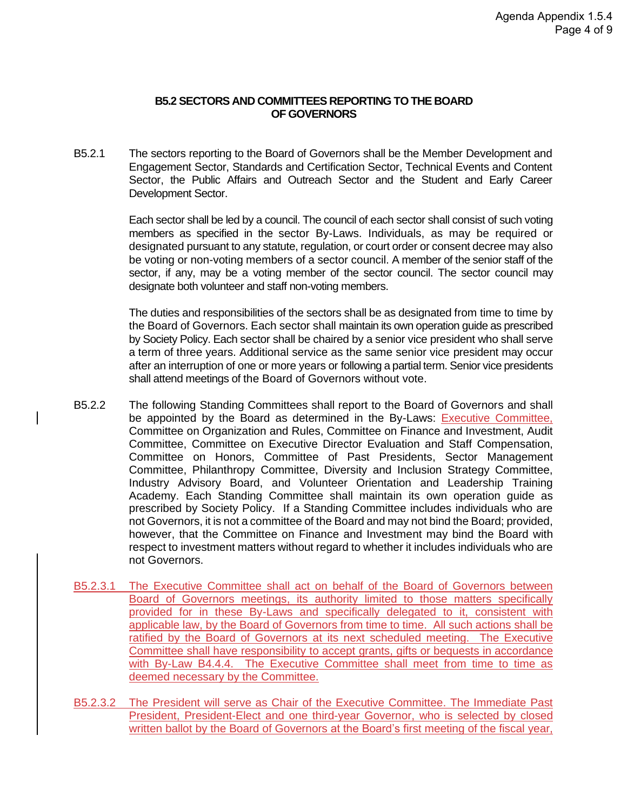#### **B5.2 SECTORS AND COMMITTEES REPORTING TO THE BOARD OF GOVERNORS**

B5.2.1 The sectors reporting to the Board of Governors shall be the Member Development and Engagement Sector, Standards and Certification Sector, Technical Events and Content Sector, the Public Affairs and Outreach Sector and the Student and Early Career Development Sector.

> Each sector shall be led by a council. The council of each sector shall consist of such voting members as specified in the sector By-Laws. Individuals, as may be required or designated pursuant to any statute, regulation, or court order or consent decree may also be voting or non-voting members of a sector council. A member of the senior staff of the sector, if any, may be a voting member of the sector council. The sector council may designate both volunteer and staff non-voting members.

> The duties and responsibilities of the sectors shall be as designated from time to time by the Board of Governors. Each sector shall maintain its own operation guide as prescribed by Society Policy. Each sector shall be chaired by a senior vice president who shall serve a term of three years. Additional service as the same senior vice president may occur after an interruption of one or more years or following a partial term. Senior vice presidents shall attend meetings of the Board of Governors without vote.

- B5.2.2 The following Standing Committees shall report to the Board of Governors and shall be appointed by the Board as determined in the By-Laws: Executive Committee, Committee on Organization and Rules, Committee on Finance and Investment, Audit Committee, Committee on Executive Director Evaluation and Staff Compensation, Committee on Honors, Committee of Past Presidents, Sector Management Committee, Philanthropy Committee, Diversity and Inclusion Strategy Committee, Industry Advisory Board, and Volunteer Orientation and Leadership Training Academy. Each Standing Committee shall maintain its own operation guide as prescribed by Society Policy. If a Standing Committee includes individuals who are not Governors, it is not a committee of the Board and may not bind the Board; provided, however, that the Committee on Finance and Investment may bind the Board with respect to investment matters without regard to whether it includes individuals who are not Governors.
- B5.2.3.1 The Executive Committee shall act on behalf of the Board of Governors between Board of Governors meetings, its authority limited to those matters specifically provided for in these By-Laws and specifically delegated to it, consistent with applicable law, by the Board of Governors from time to time. All such actions shall be ratified by the Board of Governors at its next scheduled meeting. The Executive Committee shall have responsibility to accept grants, gifts or bequests in accordance with By-Law B4.4.4. The Executive Committee shall meet from time to time as deemed necessary by the Committee.
- B5.2.3.2 The President will serve as Chair of the Executive Committee. The Immediate Past President, President-Elect and one third-year Governor, who is selected by closed written ballot by the Board of Governors at the Board's first meeting of the fiscal year,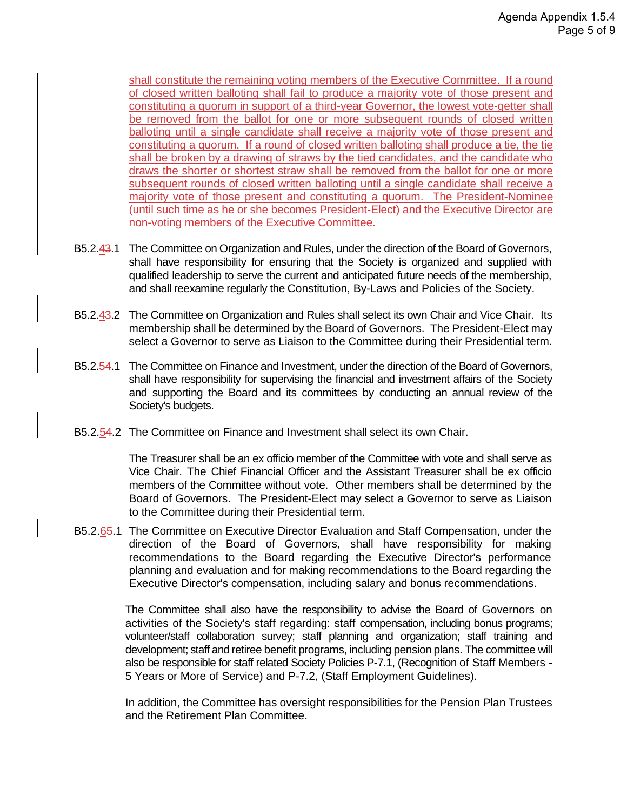shall constitute the remaining voting members of the Executive Committee. If a round of closed written balloting shall fail to produce a majority vote of those present and constituting a quorum in support of a third-year Governor, the lowest vote-getter shall be removed from the ballot for one or more subsequent rounds of closed written balloting until a single candidate shall receive a majority vote of those present and constituting a quorum. If a round of closed written balloting shall produce a tie, the tie shall be broken by a drawing of straws by the tied candidates, and the candidate who draws the shorter or shortest straw shall be removed from the ballot for one or more subsequent rounds of closed written balloting until a single candidate shall receive a majority vote of those present and constituting a quorum. The President-Nominee (until such time as he or she becomes President-Elect) and the Executive Director are non-voting members of the Executive Committee.

- B5.2.43.1 The Committee on Organization and Rules, under the direction of the Board of Governors, shall have responsibility for ensuring that the Society is organized and supplied with qualified leadership to serve the current and anticipated future needs of the membership, and shall reexamine regularly the Constitution, By-Laws and Policies of the Society.
- B5.2.43.2 The Committee on Organization and Rules shall select its own Chair and Vice Chair. Its membership shall be determined by the Board of Governors. The President-Elect may select a Governor to serve as Liaison to the Committee during their Presidential term.
- B5.2.54.1 The Committee on Finance and Investment, under the direction of the Board of Governors, shall have responsibility for supervising the financial and investment affairs of the Society and supporting the Board and its committees by conducting an annual review of the Society's budgets.
- B5.2.54.2 The Committee on Finance and Investment shall select its own Chair.

The Treasurer shall be an ex officio member of the Committee with vote and shall serve as Vice Chair. The Chief Financial Officer and the Assistant Treasurer shall be ex officio members of the Committee without vote. Other members shall be determined by the Board of Governors. The President-Elect may select a Governor to serve as Liaison to the Committee during their Presidential term.

B5.2.65.1 The Committee on Executive Director Evaluation and Staff Compensation, under the direction of the Board of Governors, shall have responsibility for making recommendations to the Board regarding the Executive Director's performance planning and evaluation and for making recommendations to the Board regarding the Executive Director's compensation, including salary and bonus recommendations.

> The Committee shall also have the responsibility to advise the Board of Governors on activities of the Society's staff regarding: staff compensation, including bonus programs; volunteer/staff collaboration survey; staff planning and organization; staff training and development; staff and retiree benefit programs, including pension plans. The committee will also be responsible for staff related Society Policies P-7.1, (Recognition of Staff Members - 5 Years or More of Service) and P-7.2, (Staff Employment Guidelines).

> In addition, the Committee has oversight responsibilities for the Pension Plan Trustees and the Retirement Plan Committee.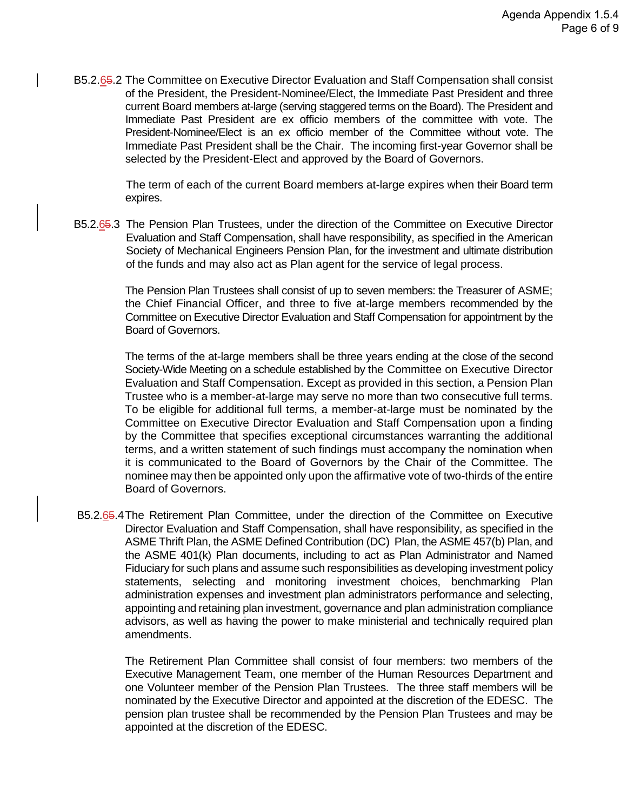B5.2.65.2 The Committee on Executive Director Evaluation and Staff Compensation shall consist of the President, the President-Nominee/Elect, the Immediate Past President and three current Board members at-large (serving staggered terms on the Board). The President and Immediate Past President are ex officio members of the committee with vote. The President-Nominee/Elect is an ex officio member of the Committee without vote. The Immediate Past President shall be the Chair. The incoming first-year Governor shall be selected by the President-Elect and approved by the Board of Governors.

> The term of each of the current Board members at-large expires when their Board term expires.

B5.2.65.3 The Pension Plan Trustees, under the direction of the Committee on Executive Director Evaluation and Staff Compensation, shall have responsibility, as specified in the American Society of Mechanical Engineers Pension Plan, for the investment and ultimate distribution of the funds and may also act as Plan agent for the service of legal process.

> The Pension Plan Trustees shall consist of up to seven members: the Treasurer of ASME; the Chief Financial Officer, and three to five at-large members recommended by the Committee on Executive Director Evaluation and Staff Compensation for appointment by the Board of Governors.

> The terms of the at-large members shall be three years ending at the close of the second Society-Wide Meeting on a schedule established by the Committee on Executive Director Evaluation and Staff Compensation. Except as provided in this section, a Pension Plan Trustee who is a member-at-large may serve no more than two consecutive full terms. To be eligible for additional full terms, a member-at-large must be nominated by the Committee on Executive Director Evaluation and Staff Compensation upon a finding by the Committee that specifies exceptional circumstances warranting the additional terms, and a written statement of such findings must accompany the nomination when it is communicated to the Board of Governors by the Chair of the Committee. The nominee may then be appointed only upon the affirmative vote of two-thirds of the entire Board of Governors.

B5.2.65.4The Retirement Plan Committee, under the direction of the Committee on Executive Director Evaluation and Staff Compensation, shall have responsibility, as specified in the ASME Thrift Plan, the ASME Defined Contribution (DC) Plan, the ASME 457(b) Plan, and the ASME 401(k) Plan documents, including to act as Plan Administrator and Named Fiduciary for such plans and assume such responsibilities as developing investment policy statements, selecting and monitoring investment choices, benchmarking Plan administration expenses and investment plan administrators performance and selecting, appointing and retaining plan investment, governance and plan administration compliance advisors, as well as having the power to make ministerial and technically required plan amendments.

The Retirement Plan Committee shall consist of four members: two members of the Executive Management Team, one member of the Human Resources Department and one Volunteer member of the Pension Plan Trustees. The three staff members will be nominated by the Executive Director and appointed at the discretion of the EDESC. The pension plan trustee shall be recommended by the Pension Plan Trustees and may be appointed at the discretion of the EDESC.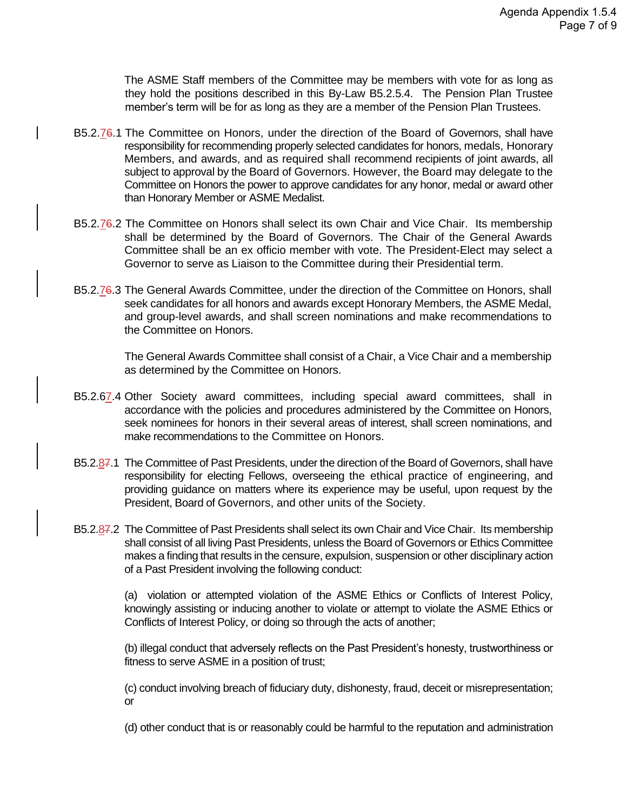The ASME Staff members of the Committee may be members with vote for as long as they hold the positions described in this By-Law B5.2.5.4. The Pension Plan Trustee member's term will be for as long as they are a member of the Pension Plan Trustees.

- B5.2.76.1 The Committee on Honors, under the direction of the Board of Governors, shall have responsibility for recommending properly selected candidates for honors, medals, Honorary Members, and awards, and as required shall recommend recipients of joint awards, all subject to approval by the Board of Governors. However, the Board may delegate to the Committee on Honors the power to approve candidates for any honor, medal or award other than Honorary Member or ASME Medalist.
- B5.2.76.2 The Committee on Honors shall select its own Chair and Vice Chair. Its membership shall be determined by the Board of Governors. The Chair of the General Awards Committee shall be an ex officio member with vote. The President-Elect may select a Governor to serve as Liaison to the Committee during their Presidential term.
- B5.2.76.3 The General Awards Committee, under the direction of the Committee on Honors, shall seek candidates for all honors and awards except Honorary Members, the ASME Medal, and group-level awards, and shall screen nominations and make recommendations to the Committee on Honors.

The General Awards Committee shall consist of a Chair, a Vice Chair and a membership as determined by the Committee on Honors.

- B5.2.67.4 Other Society award committees, including special award committees, shall in accordance with the policies and procedures administered by the Committee on Honors, seek nominees for honors in their several areas of interest, shall screen nominations, and make recommendations to the Committee on Honors.
- B5.2.87.1 The Committee of Past Presidents, under the direction of the Board of Governors, shall have responsibility for electing Fellows, overseeing the ethical practice of engineering, and providing guidance on matters where its experience may be useful, upon request by the President, Board of Governors, and other units of the Society.
- B5.2.87.2 The Committee of Past Presidents shall select its own Chair and Vice Chair. Its membership shall consist of all living Past Presidents, unless the Board of Governors or Ethics Committee makes a finding that results in the censure, expulsion, suspension or other disciplinary action of a Past President involving the following conduct:

(a) violation or attempted violation of the ASME Ethics or Conflicts of Interest Policy, knowingly assisting or inducing another to violate or attempt to violate the ASME Ethics or Conflicts of Interest Policy, or doing so through the acts of another;

(b) illegal conduct that adversely reflects on the Past President's honesty, trustworthiness or fitness to serve ASME in a position of trust;

(c) conduct involving breach of fiduciary duty, dishonesty, fraud, deceit or misrepresentation; or

(d) other conduct that is or reasonably could be harmful to the reputation and administration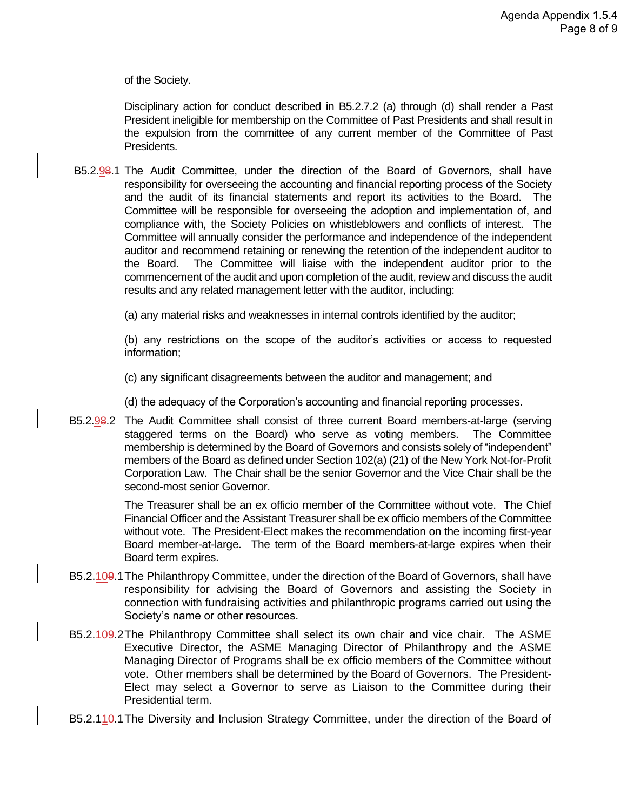of the Society.

Disciplinary action for conduct described in B5.2.7.2 (a) through (d) shall render a Past President ineligible for membership on the Committee of Past Presidents and shall result in the expulsion from the committee of any current member of the Committee of Past Presidents.

B5.2.98.1 The Audit Committee, under the direction of the Board of Governors, shall have responsibility for overseeing the accounting and financial reporting process of the Society and the audit of its financial statements and report its activities to the Board. The Committee will be responsible for overseeing the adoption and implementation of, and compliance with, the Society Policies on whistleblowers and conflicts of interest. The Committee will annually consider the performance and independence of the independent auditor and recommend retaining or renewing the retention of the independent auditor to the Board. The Committee will liaise with the independent auditor prior to the commencement of the audit and upon completion of the audit, review and discuss the audit results and any related management letter with the auditor, including:

(a) any material risks and weaknesses in internal controls identified by the auditor;

(b) any restrictions on the scope of the auditor's activities or access to requested information;

(c) any significant disagreements between the auditor and management; and

(d) the adequacy of the Corporation's accounting and financial reporting processes.

B5.2.98.2 The Audit Committee shall consist of three current Board members-at-large (serving staggered terms on the Board) who serve as voting members. The Committee membership is determined by the Board of Governors and consists solely of "independent" members of the Board as defined under Section 102(a) (21) of the New York Not-for-Profit Corporation Law. The Chair shall be the senior Governor and the Vice Chair shall be the second-most senior Governor.

> The Treasurer shall be an ex officio member of the Committee without vote. The Chief Financial Officer and the Assistant Treasurer shall be ex officio members of the Committee without vote. The President-Elect makes the recommendation on the incoming first-year Board member-at-large. The term of the Board members-at-large expires when their Board term expires.

- B5.2.109.1The Philanthropy Committee, under the direction of the Board of Governors, shall have responsibility for advising the Board of Governors and assisting the Society in connection with fundraising activities and philanthropic programs carried out using the Society's name or other resources.
- B5.2.109.2The Philanthropy Committee shall select its own chair and vice chair. The ASME Executive Director, the ASME Managing Director of Philanthropy and the ASME Managing Director of Programs shall be ex officio members of the Committee without vote. Other members shall be determined by the Board of Governors. The President-Elect may select a Governor to serve as Liaison to the Committee during their Presidential term.
- B5.2.110.1 The Diversity and Inclusion Strategy Committee, under the direction of the Board of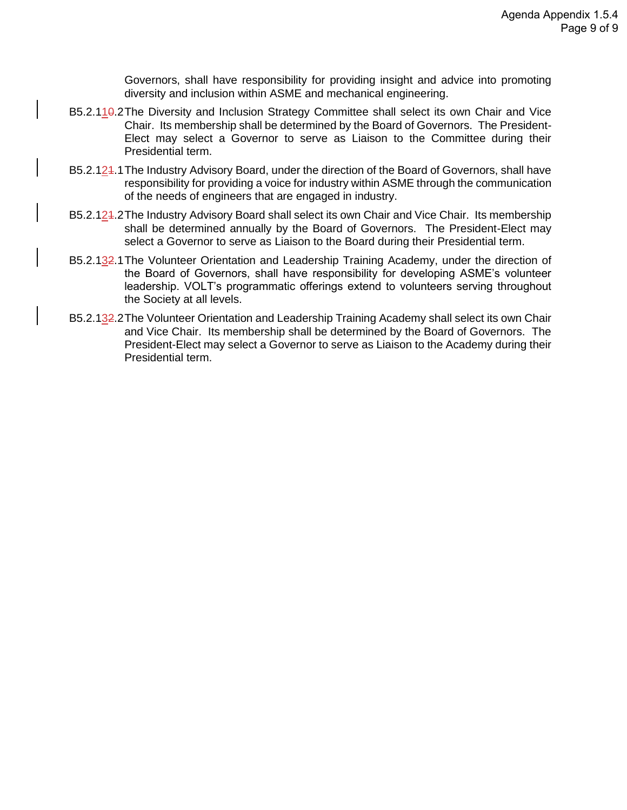Governors, shall have responsibility for providing insight and advice into promoting diversity and inclusion within ASME and mechanical engineering.

- B5.2.110.2The Diversity and Inclusion Strategy Committee shall select its own Chair and Vice Chair. Its membership shall be determined by the Board of Governors. The President-Elect may select a Governor to serve as Liaison to the Committee during their Presidential term.
- B5.2.124.1 The Industry Advisory Board, under the direction of the Board of Governors, shall have responsibility for providing a voice for industry within ASME through the communication of the needs of engineers that are engaged in industry.
- B5.2.124.2The Industry Advisory Board shall select its own Chair and Vice Chair. Its membership shall be determined annually by the Board of Governors. The President-Elect may select a Governor to serve as Liaison to the Board during their Presidential term.
- B5.2.132.1 The Volunteer Orientation and Leadership Training Academy, under the direction of the Board of Governors, shall have responsibility for developing ASME's volunteer leadership. VOLT's programmatic offerings extend to volunteers serving throughout the Society at all levels.
- B5.2.132.2The Volunteer Orientation and Leadership Training Academy shall select its own Chair and Vice Chair. Its membership shall be determined by the Board of Governors. The President-Elect may select a Governor to serve as Liaison to the Academy during their Presidential term.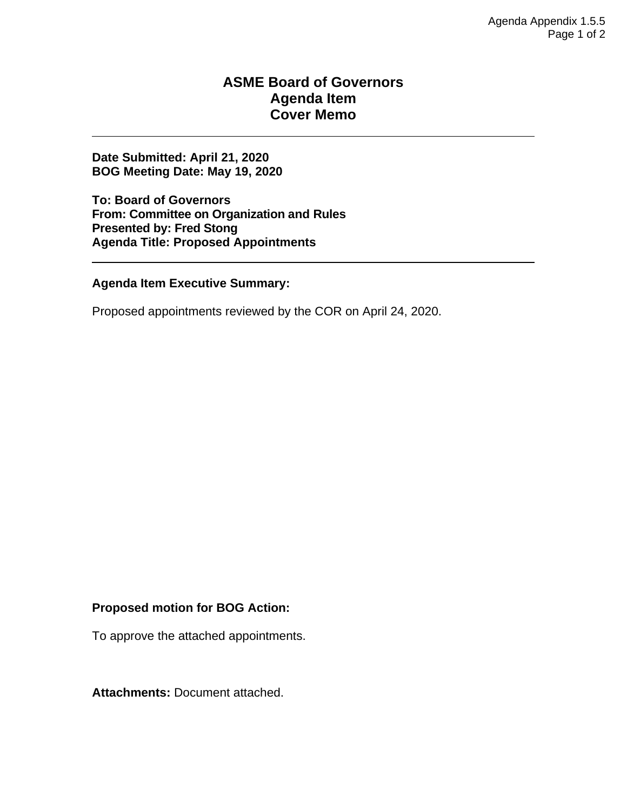### **ASME Board of Governors Agenda Item Cover Memo**

**Date Submitted: April 21, 2020 BOG Meeting Date: May 19, 2020**

**To: Board of Governors From: Committee on Organization and Rules Presented by: Fred Stong Agenda Title: Proposed Appointments**

**Agenda Item Executive Summary:**

Proposed appointments reviewed by the COR on April 24, 2020.

#### **Proposed motion for BOG Action:**

To approve the attached appointments.

**Attachments:** Document attached.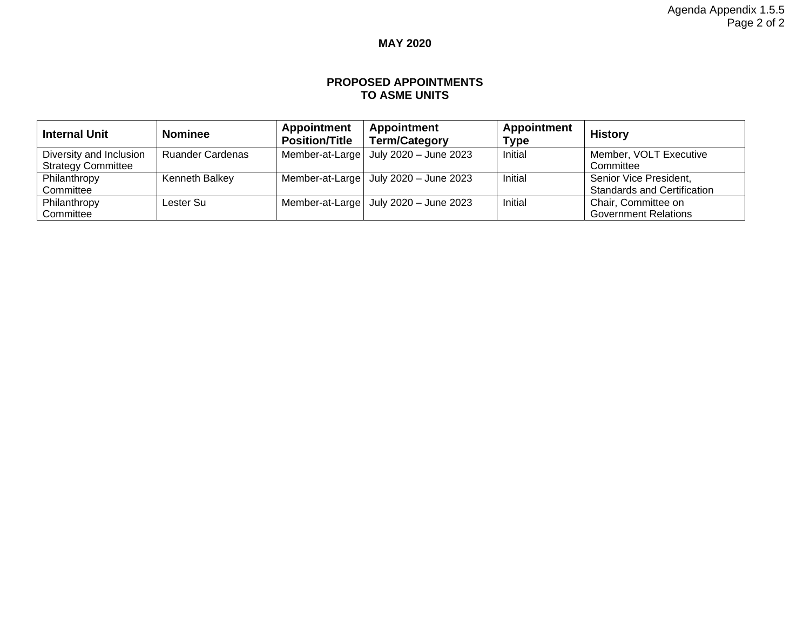### **MAY 2020**

#### **PROPOSED APPOINTMENTS TO ASME UNITS**

| <b>Internal Unit</b>      | <b>Nominee</b>          | <b>Appointment</b><br><b>Position/Title</b> | <b>Appointment</b><br><b>Term/Category</b>    | <b>Appointment</b><br><b>Type</b> | <b>History</b>                     |
|---------------------------|-------------------------|---------------------------------------------|-----------------------------------------------|-----------------------------------|------------------------------------|
| Diversity and Inclusion   | <b>Ruander Cardenas</b> |                                             | Member-at-Large   July 2020 - June 2023       | Initial                           | Member, VOLT Executive             |
| <b>Strategy Committee</b> |                         |                                             |                                               |                                   | Committee                          |
| Philanthropy              | Kenneth Balkey          |                                             | Member-at-Large   July 2020 - June 2023       | Initial                           | Senior Vice President,             |
| Committee                 |                         |                                             |                                               |                                   | <b>Standards and Certification</b> |
| Philanthropy              | Lester Su               |                                             | Member-at-Large $\vert$ July 2020 - June 2023 | Initial                           | Chair, Committee on                |
| Committee                 |                         |                                             |                                               |                                   | <b>Government Relations</b>        |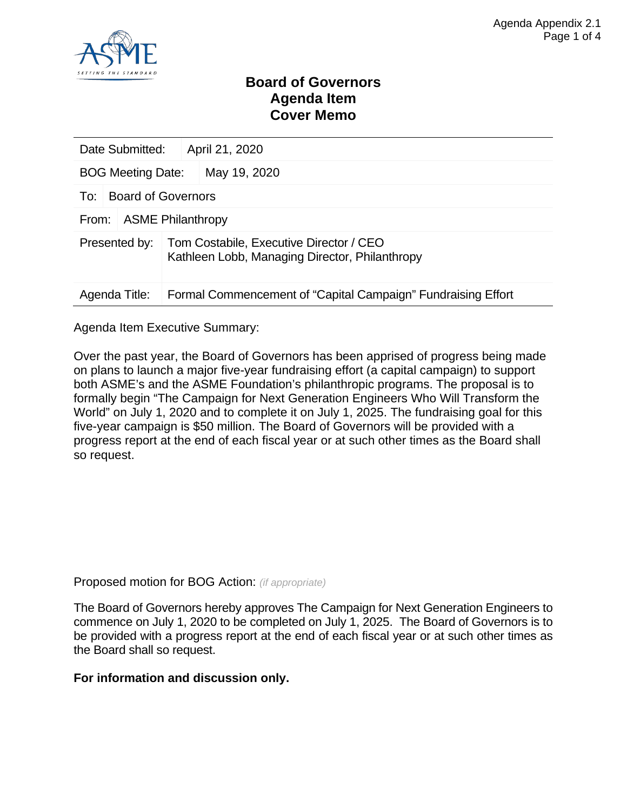

### **Board of Governors Agenda Item Cover Memo**

| Date Submitted:          |                           | April 21, 2020                                                                            |  |  |  |
|--------------------------|---------------------------|-------------------------------------------------------------------------------------------|--|--|--|
| <b>BOG Meeting Date:</b> |                           | May 19, 2020                                                                              |  |  |  |
| To:                      | <b>Board of Governors</b> |                                                                                           |  |  |  |
| From:                    | <b>ASME Philanthropy</b>  |                                                                                           |  |  |  |
| Presented by:            |                           | Tom Costabile, Executive Director / CEO<br>Kathleen Lobb, Managing Director, Philanthropy |  |  |  |
| Agenda Title:            |                           | Formal Commencement of "Capital Campaign" Fundraising Effort                              |  |  |  |

Agenda Item Executive Summary:

Over the past year, the Board of Governors has been apprised of progress being made on plans to launch a major five-year fundraising effort (a capital campaign) to support both ASME's and the ASME Foundation's philanthropic programs. The proposal is to formally begin "The Campaign for Next Generation Engineers Who Will Transform the World" on July 1, 2020 and to complete it on July 1, 2025. The fundraising goal for this five-year campaign is \$50 million. The Board of Governors will be provided with a progress report at the end of each fiscal year or at such other times as the Board shall so request.

Proposed motion for BOG Action: *(if appropriate)*

The Board of Governors hereby approves The Campaign for Next Generation Engineers to commence on July 1, 2020 to be completed on July 1, 2025. The Board of Governors is to be provided with a progress report at the end of each fiscal year or at such other times as the Board shall so request.

#### **For information and discussion only.**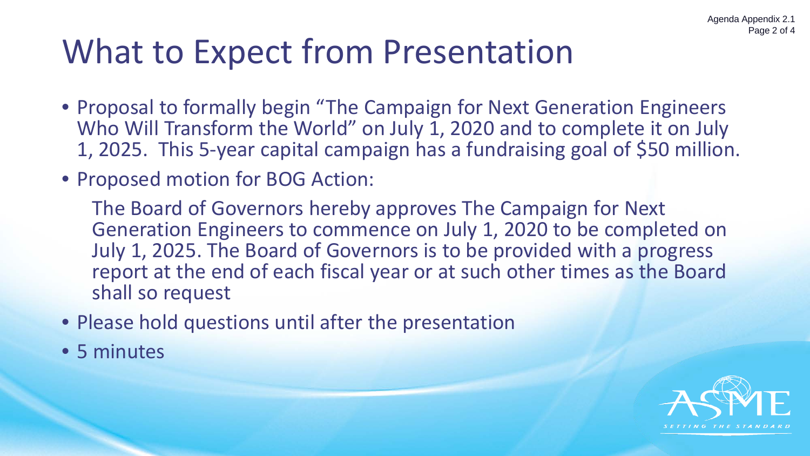# What to Expect from Presentation

- Proposal to formally begin "The Campaign for Next Generation Engineers Who Will Transform the World" on July 1, 2020 and to complete it on July 1, 2025. This 5-year capital campaign has a fundraising goal of \$50 million.
- Proposed motion for BOG Action:

The Board of Governors hereby approves The Campaign for Next Generation Engineers to commence on July 1, 2020 to be completed on July 1, 2025. The Board of Governors is to be provided with a progress report at the end of each fiscal year or at such other times as the Board shall so request

- Please hold questions until after the presentation
- 5 minutes

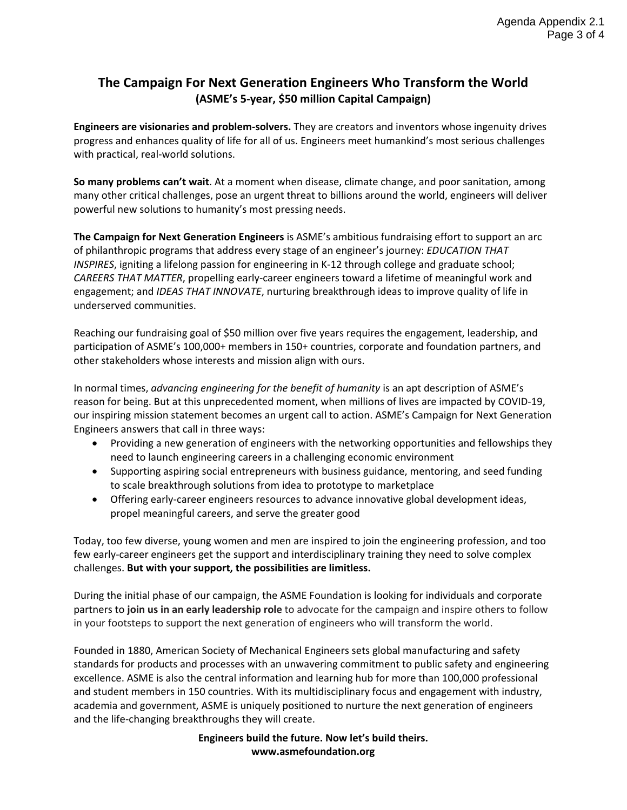### **The Campaign For Next Generation Engineers Who Transform the World (ASME's 5-year, \$50 million Capital Campaign)**

**Engineers are visionaries and problem-solvers.** They are creators and inventors whose ingenuity drives progress and enhances quality of life for all of us. Engineers meet humankind's most serious challenges with practical, real-world solutions.

**So many problems can't wait**. At a moment when disease, climate change, and poor sanitation, among many other critical challenges, pose an urgent threat to billions around the world, engineers will deliver powerful new solutions to humanity's most pressing needs.

**The Campaign for Next Generation Engineers** is ASME's ambitious fundraising effort to support an arc of philanthropic programs that address every stage of an engineer's journey: *EDUCATION THAT INSPIRES*, igniting a lifelong passion for engineering in K-12 through college and graduate school; *CAREERS THAT MATTER*, propelling early-career engineers toward a lifetime of meaningful work and engagement; and *IDEAS THAT INNOVATE*, nurturing breakthrough ideas to improve quality of life in underserved communities.

Reaching our fundraising goal of \$50 million over five years requires the engagement, leadership, and participation of ASME's 100,000+ members in 150+ countries, corporate and foundation partners, and other stakeholders whose interests and mission align with ours.

In normal times, *advancing engineering for the benefit of humanity* is an apt description of ASME's reason for being. But at this unprecedented moment, when millions of lives are impacted by COVID-19, our inspiring mission statement becomes an urgent call to action. ASME's Campaign for Next Generation Engineers answers that call in three ways:

- Providing a new generation of engineers with the networking opportunities and fellowships they need to launch engineering careers in a challenging economic environment
- Supporting aspiring social entrepreneurs with business guidance, mentoring, and seed funding to scale breakthrough solutions from idea to prototype to marketplace
- Offering early-career engineers resources to advance innovative global development ideas, propel meaningful careers, and serve the greater good

Today, too few diverse, young women and men are inspired to join the engineering profession, and too few early-career engineers get the support and interdisciplinary training they need to solve complex challenges. **But with your support, the possibilities are limitless.**

During the initial phase of our campaign, the ASME Foundation is looking for individuals and corporate partners to **join us in an early leadership role** to advocate for the campaign and inspire others to follow in your footsteps to support the next generation of engineers who will transform the world.

Founded in 1880, American Society of Mechanical Engineers sets global manufacturing and safety standards for products and processes with an unwavering commitment to public safety and engineering excellence. ASME is also the central information and learning hub for more than 100,000 professional and student members in 150 countries. With its multidisciplinary focus and engagement with industry, academia and government, ASME is uniquely positioned to nurture the next generation of engineers and the life-changing breakthroughs they will create.

> **Engineers build the future. Now let's build theirs. www.asmefoundation.org**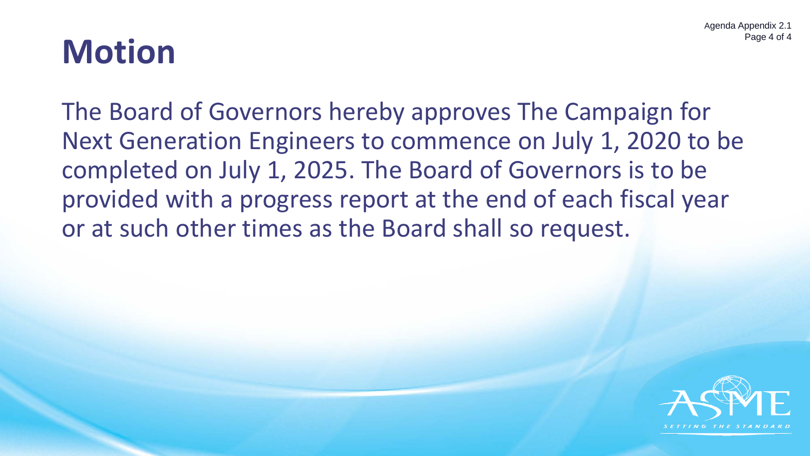### **Motion**

The Board of Governors hereby approves The Campaign for Next Generation Engineers to commence on July 1, 2020 to be completed on July 1, 2025. The Board of Governors is to be provided with a progress report at the end of each fiscal year or at such other times as the Board shall so request.

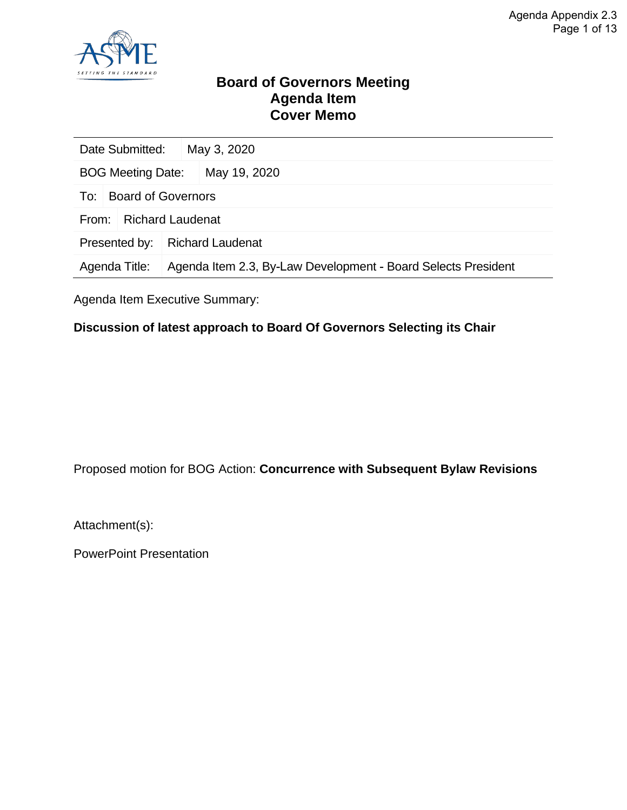![](_page_29_Picture_1.jpeg)

### **Board of Governors Meeting Agenda Item Cover Memo**

| Date Submitted:                  |                                                               | May 3, 2020  |  |  |
|----------------------------------|---------------------------------------------------------------|--------------|--|--|
| <b>BOG Meeting Date:</b>         |                                                               | May 19, 2020 |  |  |
| To:                              | Board of Governors                                            |              |  |  |
| <b>Richard Laudenat</b><br>From: |                                                               |              |  |  |
| Presented by:                    | <b>Richard Laudenat</b>                                       |              |  |  |
| Agenda Title:                    | Agenda Item 2.3, By-Law Development - Board Selects President |              |  |  |

Agenda Item Executive Summary:

### **Discussion of latest approach to Board Of Governors Selecting its Chair**

Proposed motion for BOG Action: **Concurrence with Subsequent Bylaw Revisions**

Attachment(s):

PowerPoint Presentation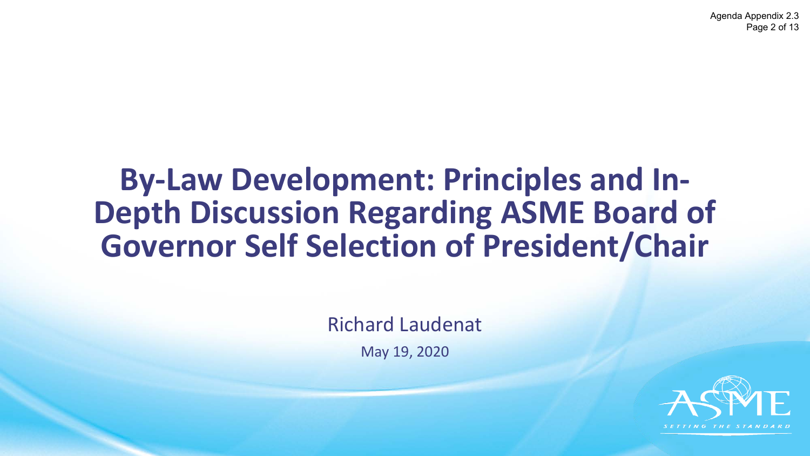Agenda Appendix 2.3 Page 2 of 13

### **By-Law Development: Principles and In-Depth Discussion Regarding ASME Board of Governor Self Selection of President/Chair**

Richard Laudenat

May 19, 2020

![](_page_30_Picture_4.jpeg)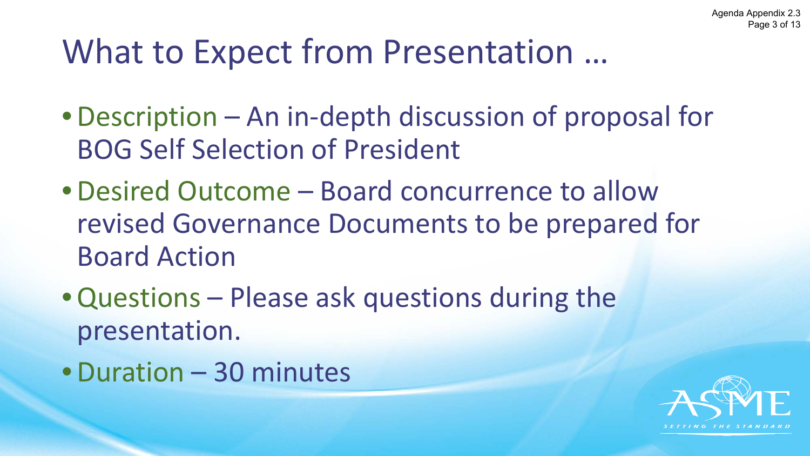# What to Expect from Presentation …

- •Description An in-depth discussion of proposal for BOG Self Selection of President
- •Desired Outcome Board concurrence to allow revised Governance Documents to be prepared for Board Action
- •Questions Please ask questions during the presentation.
- •Duration 30 minutes

![](_page_31_Picture_6.jpeg)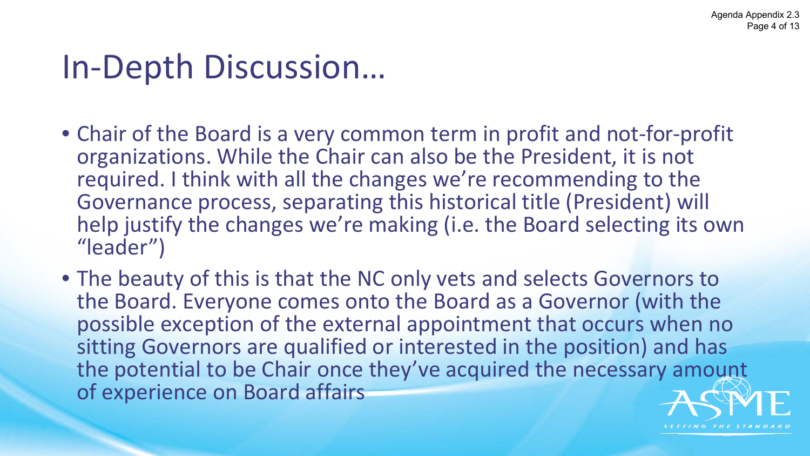## In-Depth Discussion…

- Chair of the Board is a very common term in profit and not-for-profit organizations. While the Chair can also be the President, it is not required. I think with all the changes we're recommending to the Governance process, separating this historical title (President) will help justify the changes we're making (i.e. the Board selecting its own "leader")
- The beauty of this is that the NC only vets and selects Governors to the Board. Everyone comes onto the Board as a Governor (with the possible exception of the external appointment that occurs when no sitting Governors are qualified or interested in the position) and has the potential to be Chair once they've acquired the necessary amount of experience on Board affairs

![](_page_32_Picture_4.jpeg)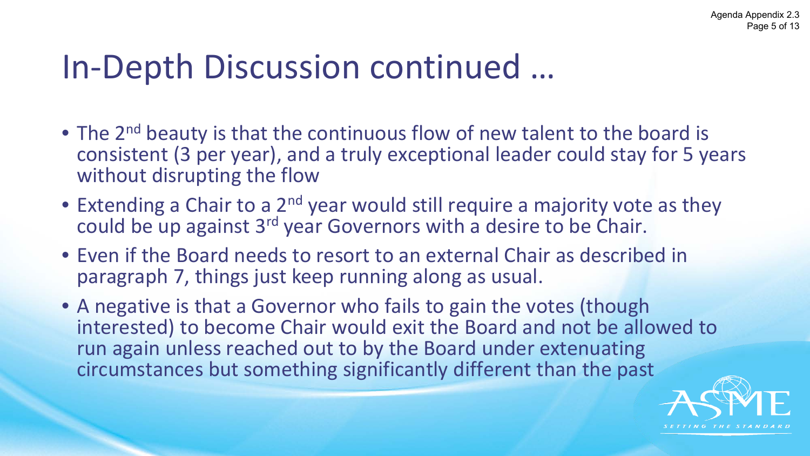# In-Depth Discussion continued …

- The 2<sup>nd</sup> beauty is that the continuous flow of new talent to the board is consistent (3 per year), and a truly exceptional leader could stay for 5 years without disrupting the flow
- Extending a Chair to a 2<sup>nd</sup> year would still require a majority vote as they could be up against 3<sup>rd</sup> year Governors with a desire to be Chair.
- Even if the Board needs to resort to an external Chair as described in paragraph 7, things just keep running along as usual.
- A negative is that a Governor who fails to gain the votes (though interested) to become Chair would exit the Board and not be allowed to run again unless reached out to by the Board under extenuating circumstances but something significantly different than the past

![](_page_33_Picture_6.jpeg)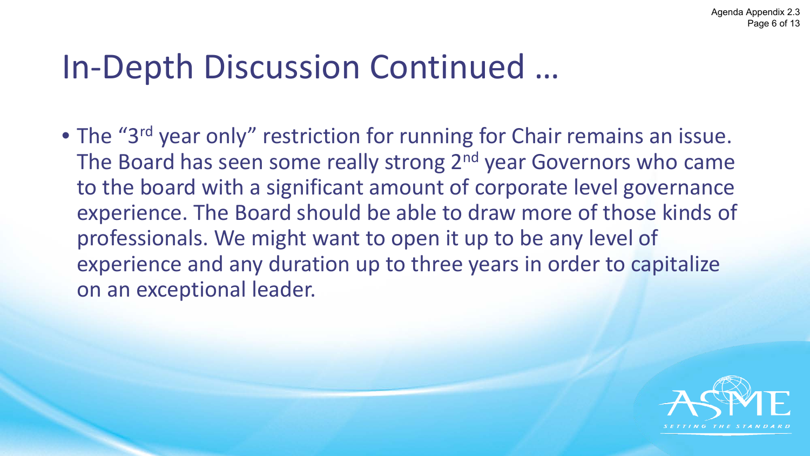# In-Depth Discussion Continued …

• The "3<sup>rd</sup> year only" restriction for running for Chair remains an issue. The Board has seen some really strong 2<sup>nd</sup> year Governors who came to the board with a significant amount of corporate level governance experience. The Board should be able to draw more of those kinds of professionals. We might want to open it up to be any level of experience and any duration up to three years in order to capitalize on an exceptional leader.

![](_page_34_Picture_3.jpeg)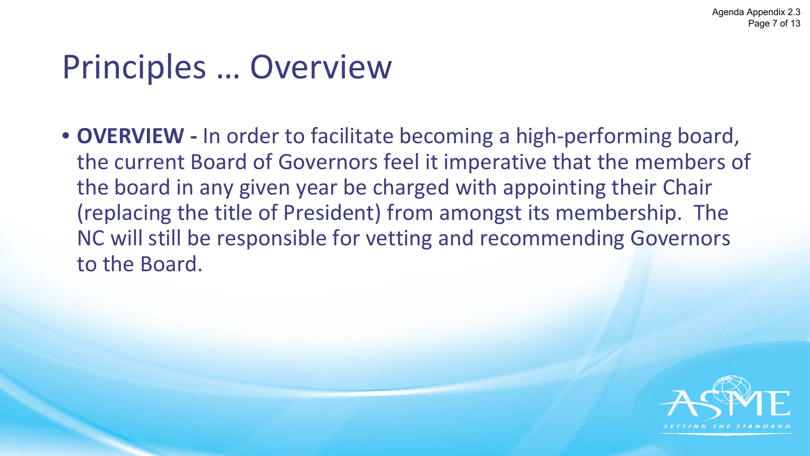# Principles … Overview

• **OVERVIEW -** In order to facilitate becoming a high-performing board, the current Board of Governors feel it imperative that the members of the board in any given year be charged with appointing their Chair (replacing the title of President) from amongst its membership. The NC will still be responsible for vetting and recommending Governors to the Board.

![](_page_35_Picture_3.jpeg)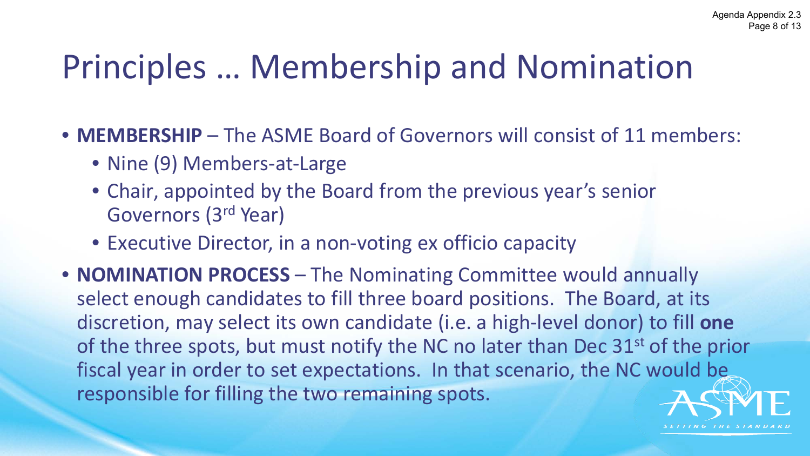# Principles … Membership and Nomination

- **MEMBERSHIP** The ASME Board of Governors will consist of 11 members:
	- Nine (9) Members-at-Large
	- Chair, appointed by the Board from the previous year's senior Governors (3rd Year)
	- Executive Director, in a non-voting ex officio capacity
- **NOMINATION PROCESS** The Nominating Committee would annually select enough candidates to fill three board positions. The Board, at its discretion, may select its own candidate (i.e. a high-level donor) to fill **one** of the three spots, but must notify the NC no later than Dec 31<sup>st</sup> of the prior fiscal year in order to set expectations. In that scenario, the NC would be responsible for filling the two remaining spots.

![](_page_36_Picture_7.jpeg)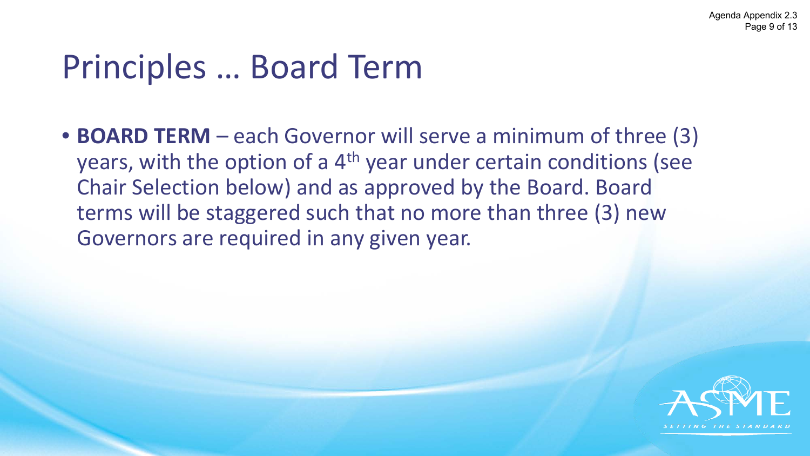# Principles … Board Term

• **BOARD TERM** – each Governor will serve a minimum of three (3) years, with the option of a 4<sup>th</sup> year under certain conditions (see Chair Selection below) and as approved by the Board. Board terms will be staggered such that no more than three (3) new Governors are required in any given year.

![](_page_37_Picture_3.jpeg)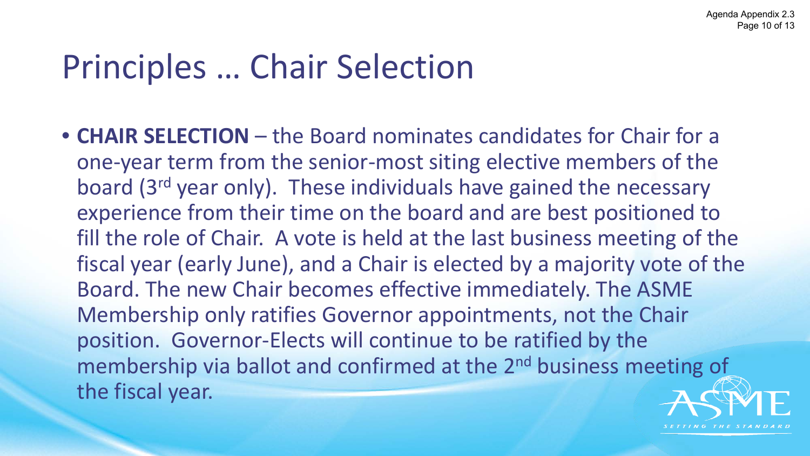# Principles … Chair Selection

• **CHAIR SELECTION** – the Board nominates candidates for Chair for a one-year term from the senior-most siting elective members of the board (3rd year only). These individuals have gained the necessary experience from their time on the board and are best positioned to fill the role of Chair. A vote is held at the last business meeting of the fiscal year (early June), and a Chair is elected by a majority vote of the Board. The new Chair becomes effective immediately. The ASME Membership only ratifies Governor appointments, not the Chair position. Governor-Elects will continue to be ratified by the membership via ballot and confirmed at the 2<sup>nd</sup> business meeting of the fiscal year.

![](_page_38_Picture_3.jpeg)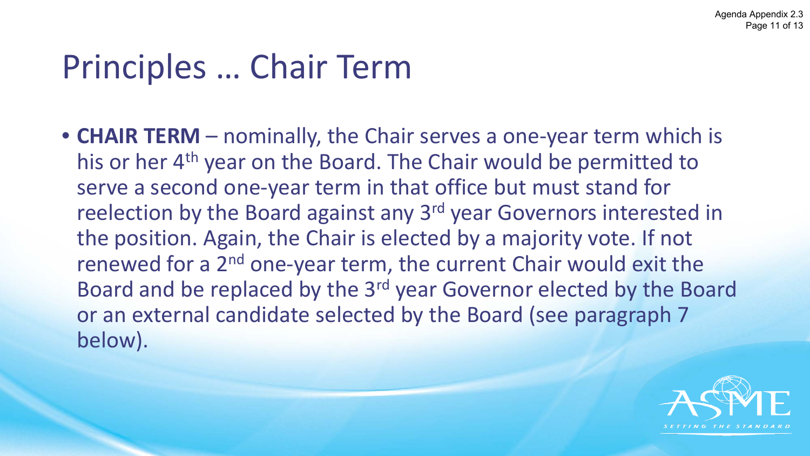# Principles … Chair Term

• **CHAIR TERM** – nominally, the Chair serves a one-year term which is his or her 4<sup>th</sup> year on the Board. The Chair would be permitted to serve a second one-year term in that office but must stand for reelection by the Board against any 3<sup>rd</sup> year Governors interested in the position. Again, the Chair is elected by a majority vote. If not renewed for a 2<sup>nd</sup> one-year term, the current Chair would exit the Board and be replaced by the 3rd year Governor elected by the Board or an external candidate selected by the Board (see paragraph 7 below).

![](_page_39_Picture_3.jpeg)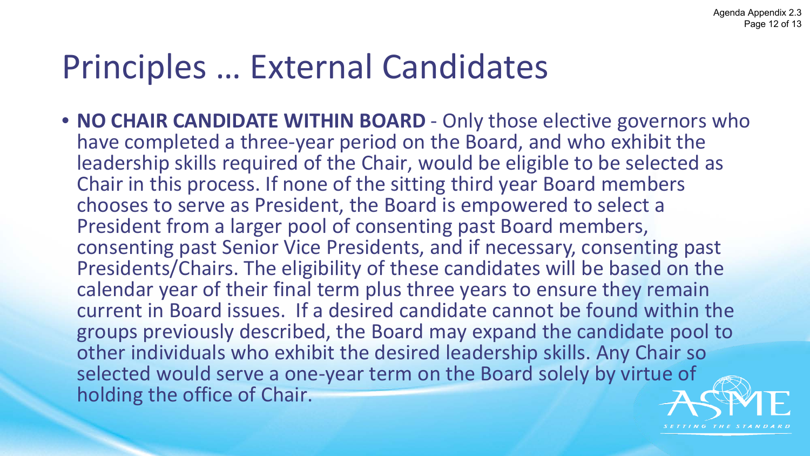# Principles … External Candidates

• **NO CHAIR CANDIDATE WITHIN BOARD** - Only those elective governors who have completed a three-year period on the Board, and who exhibit the leadership skills required of the Chair, would be eligible to be selected as Chair in this process. If none of the sitting third year Board members chooses to serve as President, the Board is empowered to select a President from a larger pool of consenting past Board members, consenting past Senior Vice Presidents, and if necessary, consenting past Presidents/Chairs. The eligibility of these candidates will be based on the calendar year of their final term plus three years to ensure they remain current in Board issues. If a desired candidate cannot be found within the groups previously described, the Board may expand the candidate pool to other individuals who exhibit the desired leadership skills. Any Chair so selected would serve a one-year term on the Board solely by virtue of holding the office of Chair.

![](_page_40_Picture_3.jpeg)